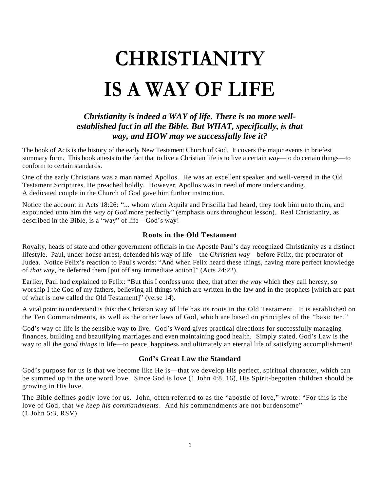# **CHRISTIANITY IS A WAY OF LIFE**

# *Christianity is indeed a WAY of life. There is no more wellestablished fact in all the Bible. But WHAT, specifically, is that way, and HOW may we successfully live it?*

The book of Acts is the history of the early New Testament Church of God. It covers the major events in briefest summary form. This book attests to the fact that to live a Christian life is to live a certain *way*—to do certain things—to conform to certain standards.

One of the early Christians was a man named Apollos. He was an excellent speaker and well-versed in the Old Testament Scriptures. He preached boldly. However, Apollos was in need of more understanding. A dedicated couple in the Church of God gave him further instruction.

Notice the account in Acts 18:26: "... whom when Aquila and Priscilla had heard, they took him unto them, and expounded unto him the *way of God* more perfectly" (emphasis ours throughout lesson). Real Christianity, as described in the Bible, is a "way" of life—God's way!

# **Roots in the Old Testament**

Royalty, heads of state and other government officials in the Apostle Paul's day recognized Christianity as a distinct lifestyle. Paul, under house arrest, defended his way of life—the *Christian way*—before Felix, the procurator of Judea. Notice Felix's reaction to Paul's words: "And when Felix heard these things, having more perfect knowledge of *that way*, he deferred them [put off any immediate action]" (Acts 24:22).

Earlier, Paul had explained to Felix: "But this I confess unto thee, that after *the way* which they call heresy, so worship I the God of my fathers, believing all things which are written in the law and in the prophets [which are part of what is now called the Old Testament]" (verse 14).

A vital point to understand is this: the Christian way of life has its roots in the Old Testament. It is established on the Ten Commandments, as well as the other laws of God, which are based on principles of the "basic ten."

God's way of life is the sensible way to live. God's Word gives practical directions for successfully managing finances, building and beautifying marriages and even maintaining good health. Simply stated, God's Law is the way to all the *good things* in life—to peace, happiness and ultimately an eternal life of satisfying accomplishment!

# **God's Great Law the Standard**

God's purpose for us is that we become like He is—that we develop His perfect, spiritual character, which can be summed up in the one word love. Since God is love (1 John 4:8, 16), His Spirit-begotten children should be growing in His love.

The Bible defines godly love for us. John, often referred to as the "apostle of love," wrote: "For this is the love of God, that *we keep his commandments*. And his commandments are not burdensome" (1 John 5:3, RSV).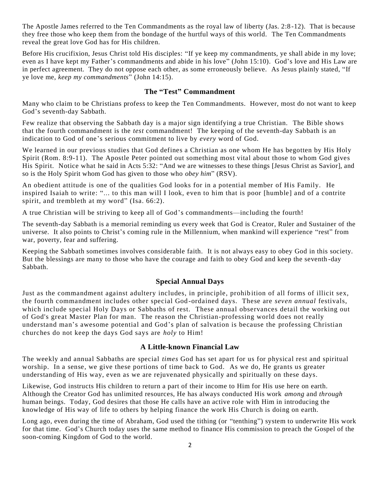The Apostle James referred to the Ten Commandments as the royal law of liberty (Jas. 2:8 -12). That is because they free those who keep them from the bondage of the hurtful ways of this world. The Ten Commandments reveal the great love God has for His children.

Before His crucifixion, Jesus Christ told His disciples: "If ye keep my commandments, ye shall abide in my love; even as I have kept my Father's commandments and abide in his love" (John 15:10). God's love and His Law are in perfect agreement. They do not oppose each other, as some erroneously believe. As Jesus plainly stated, "If ye love me, *keep my commandments*" (John 14:15).

#### **The "Test" Commandment**

Many who claim to be Christians profess to keep the Ten Commandments. However, most do not want to keep God's seventh-day Sabbath.

Few realize that observing the Sabbath day is a major sign identifying a true Christian. The Bible shows that the fourth commandment is the *test* commandment! The keeping of the seventh-day Sabbath is an indication to God of one's serious commitment to live by *every* word of God.

We learned in our previous studies that God defines a Christian as one whom He has begotten by His Holy Spirit (Rom. 8:9-11). The Apostle Peter pointed out something most vital about those to whom God gives His Spirit. Notice what he said in Acts 5:32: "And we are witnesses to these things [Jesus Christ as Savior], and so is the Holy Spirit whom God has given to those who *obey him*" (RSV).

An obedient attitude is one of the qualities God looks for in a potential member of His Family. He inspired Isaiah to write: "... to this man will I look, even to him that is poor [humble] and of a contrite spirit, and trembleth at my word" (Isa. 66:2).

A true Christian will be striving to keep all of God's commandments—including the fourth!

The seventh-day Sabbath is a memorial reminding us every week that God is Creator, Ruler and Sustainer of the universe. It also points to Christ's coming rule in the Millennium, when mankind will experience "rest" from war, poverty, fear and suffering.

Keeping the Sabbath sometimes involves considerable faith. It is not always easy to obey God in this society. But the blessings are many to those who have the courage and faith to obey God and keep the seventh -day Sabbath.

#### **Special Annual Days**

Just as the commandment against adultery includes, in principle, prohib ition of all forms of illicit sex, the fourth commandment includes other special God -ordained days. These are *seven annual* festivals, which include special Holy Days or Sabbaths of rest. These annual observances detail the working out of God's great Master Plan for man. The reason the Christian-professing world does not really understand man's awesome potential and God's plan of salvation is because the professing Christian churches do not keep the days God says are *holy* to Him!

#### **A Little-known Financial Law**

The weekly and annual Sabbaths are special *times* God has set apart for us for physical rest and spiritual worship. In a sense, we give these portions of time back to God. As we do, He grants us greater understanding of His way, even as we are rejuvenated physically and spiritually on these days.

Likewise, God instructs His children to return a part of their income to Him for His use here on earth. Although the Creator God has unlimited resources, He has always conducted His work *among* and *through* human beings. Today, God desires that those He calls have an active role with Him in introducing the knowledge of His way of life to others by helping finance the work His Church is doing on earth.

Long ago, even during the time of Abraham, God used the tithing (or "tenthing") system to underwrite His work for that time. God's Church today uses the same method to finance His commission to preach the Gospel of the soon-coming Kingdom of God to the world.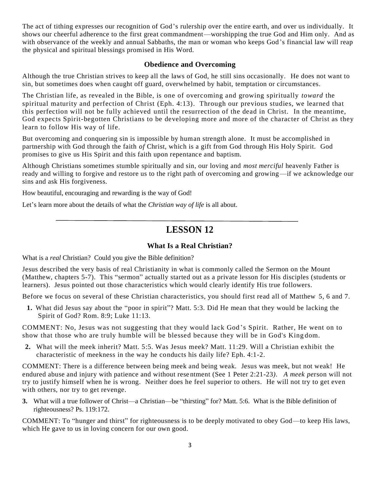The act of tithing expresses our recognition of God's rulership over the entire earth, and over us individually. It shows our cheerful adherence to the first great commandment—worshipping the true God and Him only. And as with observance of the weekly and annual Sabbaths, the man or woman who keeps God's financial law will reap the physical and spiritual blessings promised in His Word.

#### **Obedience and Overcoming**

Although the true Christian strives to keep all the laws of God, he still sins occasionally. He does not want to sin, but sometimes does when caught off guard, overwhelmed by habit, temptation or circumstances.

The Christian life, as revealed in the Bible, is one of overcoming and growing spiritually *toward* the spiritual maturity and perfection of Christ (Eph. 4:13). Through our previous studies, we learned that this perfection will not be fully achieved until the resurrection of the dead in Christ. In the meantime, God expects Spirit-begotten Christians to be developing more and more of the character of Christ as they learn to follow His way of life.

But overcoming and conquering sin is impossible by human strength alone. It must be accomplished in partnership with God through the faith *of* Christ, which is a gift from God through His Holy Spirit. God promises to give us His Spirit and this faith upon repentance and baptism.

Although Christians sometimes stumble spiritually and sin, our loving and *most merciful* heavenly Father is ready and willing to forgive and restore us to the right path of overcoming and growing—if we acknowledge our sins and ask His forgiveness.

How beautiful, encouraging and rewarding is the way of God!

Let's learn more about the details of what the *Christian way of life* is all about.

# **LESSON 12**

# **What Is a Real Christian?**

What is a *real* Christian? Could you give the Bible definition?

Jesus described the very basis of real Christianity in what is commonly called the Sermon on the Mount (Matthew, chapters 5-7). This "sermon" actually started out as a private lesson for His disciples (students or learners). Jesus pointed out those characteristics which would clearly identify His true followers.

Before we focus on several of these Christian characteristics, you should first read all of Matthew 5, 6 and 7.

**1.** What did Jesus say about the "poor in spirit"? Matt. 5:3. Did He mean that they would be lacking the Spirit of God? Rom. 8:9; Luke 11:13.

COMMENT: No, Jesus was not suggesting that they would lack God 's Spirit. Rather, He went on to show that those who are truly humble will be blessed because they will be in God's King dom.

**2.** What will the meek inherit? Matt. 5:5. Was Jesus meek? Matt. 11:29. Will a Christian exhibit the characteristic of meekness in the way he conducts his daily life? Eph. 4:1-2.

COMMENT: There is a difference between being meek and being weak. Jesus was meek, but not weak! He endured abuse and injury with patience and without resentment (See 1 Peter 2:21-23*). A meek pe*rson will not try to justify himself when he is wrong. Neither does he feel superior to others. He will not try to get even with others, nor try to get revenge.

**3.** What will a true follower of Christ—a Christian—be "thirsting" for? Matt. 5:6. What is the Bible definition of righteousness? Ps. 119:172.

COMMENT: To "hunger and thirst" for righteousness is to be deeply motivated to obey God—to keep His laws, which He gave to us in loving concern for our own good.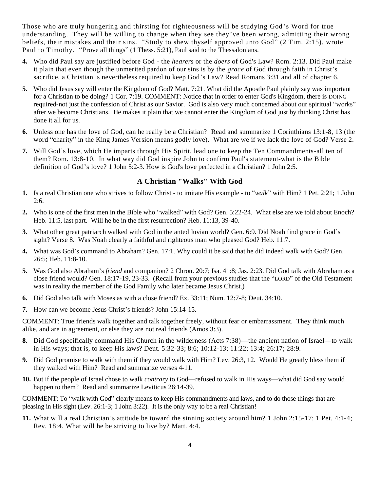Those who are truly hungering and thirsting for righteousness will be studying God 's Word for true understanding. They will be willing to change when they see they've been wrong, admitting their wrong beliefs, their mistakes and their sins. "Study to shew thyself approved unto God" (2 Tim. 2:15), wrote Paul to Timothy. "Prove all things" (1 Thess. 5:21), Paul said to the Thessalonians.

- **4.** Who did Paul say are justified before God the *hearers* or the *doers* of God's Law? Rom. 2:13. Did Paul make it plain that even though the unmerited pardon of our sins is by the *grace* of God through faith in Christ's sacrifice, a Christian is nevertheless required to keep God's Law? Read Romans 3:31 and all of chapter 6.
- **5.** Who did Jesus say will enter the Kingdom of God? Matt. 7:21. What did the Apostle Paul plainly say was important for a Christian to be doing? 1 Cor. 7:19. COMMENT: Notice that in order to enter God's Kingdom, there is DOING required-not just the confession of Christ as our Savior. God is also very much concerned about our spiritual "works" after we become Christians. He makes it plain that we cannot enter the Kingdom of God just by thinking Christ has done it all for us.
- **6.** Unless one has the love of God, can he really be a Christian? Read and summarize 1 Corinthians 13:1-8, 13 (the word "charity" in the King James Version means godly love). What are we if we lack the love of God? Verse 2.
- **7.** Will God's love, which He imparts through His Spirit, lead one to keep the Ten Commandments-all ten of them? Rom. 13:8-10. In what way did God inspire John to confirm Paul's statement-what is the Bible definition of God's love? 1 John 5:2-3. How is God's love perfected in a Christian? 1 John 2:5.

## **A Christian "Walks" With God**

- **1.** Is a real Christian one who strives to follow Christ to imitate His example to "*walk*" with Him? 1 Pet. 2:21; 1 John  $2:6.$
- **2.** Who is one of the first men in the Bible who "walked" with God? Gen. 5:22-24. What else are we told about Enoch? Heb. 11:5, last part. Will he be in the first resurrection? Heb. 11:13, 39-40.
- **3.** What other great patriarch walked with God in the antediluvian world? Gen. 6:9. Did Noah find grace in God's sight? Verse 8. Was Noah clearly a faithful and righteous man who pleased God? Heb. 11:7.
- **4.** What was God's command to Abraham? Gen. 17:1. Why could it be said that he did indeed walk with God? Gen. 26:5; Heb. 11:8-10.
- **5.** Was God also Abraham's *friend* and companion? 2 Chron. 20:7; Isa. 41:8; Jas. 2:23. Did God talk with Abraham as a close friend would? Gen. 18:17-19, 23-33. (Recall from your previous studies that the "LORD" of the Old Testament was in reality the member of the God Family who later became Jesus Christ.)
- **6.** Did God also talk with Moses as with a close friend? Ex. 33:11; Num. 12:7-8; Deut. 34:10.
- **7.** How can we become Jesus Christ's friends? John 15:14-15.

COMMENT: True friends walk together and talk together freely, without fear or embarrassment. They think much alike, and are in agreement, or else they are not real friends (Amos 3:3).

- **8.** Did God specifically command His Church in the wilderness (Acts 7:38)—the ancient nation of Israel—to walk in His ways; that is, to keep His laws? Deut. 5:32-33; 8:6; 10:12-13; 11:22; 13:4; 26:17; 28:9.
- **9.** Did God promise to walk with them if they would walk with Him? Lev. 26:3, 12. Would He greatly bless them if they walked with Him? Read and summarize verses 4-11.
- **10.** But if the people of Israel chose to walk *contrary* to God—refused to walk in His ways—what did God say would happen to them? Read and summarize Leviticus 26:14-39.

COMMENT: To "walk with God" clearly means to keep His commandments and laws, and to do those things that are pleasing in His sight (Lev. 26:1-3; 1 John 3:22). It is the only way to be a real Christian!

**11.** What will a real Christian's attitude be toward the sinning society around him? 1 John 2:15-17; 1 Pet. 4:1-4; Rev. 18:4. What will he be striving to live by? Matt. 4:4.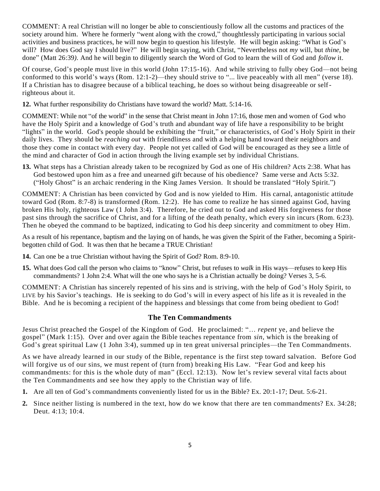COMMENT: A real Christian will no longer be able to conscientiously follow all the customs and practices of the society around him. Where he formerly "went along with the crowd," thoughtlessly participating in various social activities and business practices, he will now begin to question his lifestyle. He will begin asking: "What is God's will? How does God say I should live?" He will begin saying, with Christ, "Nevertheless not *my* will, but *thine*, be done" (Matt 26:39*).* And he will begin to diligently search the Word of God to learn the will of God and *follow* it.

Of course, God's people must live in this world (John 17:15-16). And while striving to fully obey God—not being conformed to this world's ways (Rom. 12:1-2)—they should strive to "... live peaceably with all men" (verse 18). If a Christian has to disagree because of a biblical teaching, he does so without being disagreeable or selfrighteous about it.

**12.** What further responsibility do Christians have toward the world? Matt. 5:14-16.

COMMENT: While not "of the world" in the sense that Christ meant in John 17:16, those men and women of God who have the Holy Spirit and a knowledge of God's truth and abundant way of life have a responsibility to be bright "lights" in the world. God's people should be exhibiting the "fruit," or characteristics, of God's Holy Spirit in their daily lives. They should be *reaching out* with friendliness and with a helping hand toward their neighbors and those they come in contact with every day. People not yet called of God will be encouraged as they see a little of the mind and character of God in action through the living example set by individual Christians.

**13.** What steps has a Christian already taken to be recognized by God as one of His children? Acts 2:38. What has God bestowed upon him as a free and unearned gift because of his obedience? Same verse and Acts 5:32. ("Holy Ghost" is an archaic rendering in the King James Version. It should be translated "Holy Spirit.")

COMMENT: A Christian has been convicted by God and is now yielded to Him. His carnal, antagonistic attitude toward God (Rom. 8:7-8) is transformed (Rom. 12:2). He has come to realize he has sinned against God, having broken His holy, righteous Law (1 John 3:4). Therefore, he cried out to God and asked His forgiveness for those past sins through the sacrifice of Christ, and for a lifting of the death penalty, which every sin incurs (Rom. 6:23). Then he obeyed the command to be baptized, indicating to God his deep sincerity and commitment to obey Him.

As a result of his repentance, baptism and the laying on of hands, he was given the Spirit of the Father, becoming a Spiritbegotten child of God. It was then that he became a TRUE Christian!

- **14.** Can one be a true Christian without having the Spirit of God? Rom. 8:9-10.
- **15.** What does God call the person who claims to "know" Christ, but refuses to *walk* in His ways—refuses to keep His commandments? 1 John 2:4. What will the one who says he is a Christian actually be doing? Verses 3, 5-6.

COMMENT: A Christian has sincerely repented of his sins and is striving, with the help of God 's Holy Spirit, to LIVE by his Savior's teachings. He is seeking to do God's will in every aspect of his life as it is revealed in the Bible. And he is becoming a recipient of the happiness and blessings that come from being obedient to God!

# **The Ten Commandments**

Jesus Christ preached the Gospel of the Kingdom of God. He proclaimed: "… *repent* ye, and believe the gospel" (Mark 1:15). Over and over again the Bible teaches repentance from *sin*, which is the breaking of God's great spiritual Law (1 John 3:4), summed up in ten great universal principles—the Ten Commandments.

As we have already learned in our study of the Bible, repentance is the first step toward salvation. Before God will forgive us of our sins, we must repent of (turn from) breaking His Law. "Fear God and keep his commandments: for this is the whole duty of man" (Eccl. 12:13). Now let's review several vital facts about the Ten Commandments and see how they apply to the Christian way of life.

- **1.** Are all ten of God's commandments conveniently listed for us in the Bible? Ex. 20:1-17; Deut. 5:6-21.
- **2.** Since neither listing is numbered in the text, how do we know that there are ten commandments? Ex. 34:28; Deut. 4:13; 10:4.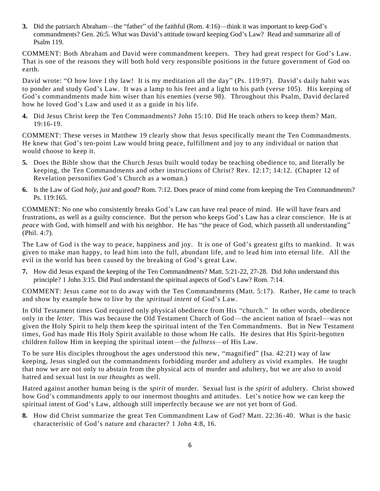**3.** Did the patriarch Abraham—the "father" of the faithful (Rom. 4:16)—think it was important to keep God's commandments? Gen. 26:5. What was David's attitude toward keeping God's Law? Read and summarize all of Psalm 119.

COMMENT: Both Abraham and David were commandment keepers. They had great respect for God's Law. That is one of the reasons they will both hold very responsible positions in the future government of God on earth.

David wrote: "O how love I thy law! It is my meditation all the day" (Ps. 119:97). David's daily habit was to ponder and study God's Law. It was a lamp to his feet and a light to his path (verse 105). His keeping of God's commandments made him wiser than his enemies (verse 98). Throughout this Psalm, David declared how he loved God's Law and used it as a guide in his life.

**4.** Did Jesus Christ keep the Ten Commandments? John 15:10. Did He teach others to keep them? Matt. 19:16-19.

COMMENT: These verses in Matthew 19 clearly show that Jesus specifically meant the Ten Commandments. He knew that God's ten-point Law would bring peace, fulfillment and joy to any individual or nation that would choose to keep it.

- **5.** Does the Bible show that the Church Jesus built would today be teaching obedience to, and literally be keeping, the Ten Commandments and other instructions of Christ? Rev. 12:17; 14:12. (Chapter 12 of Revelation personifies God's Church as a woman.)
- **6.** Is the Law of God *holy*, *just* and *good*? Rom. 7:12. Does peace of mind come from keeping the Ten Commandments? Ps. 119:165.

COMMENT: No one who consistently breaks God's Law can have real peace of mind. He will have fears and frustrations, as well as a guilty conscience. But the person who keeps God's Law has a clear conscience. He is at *peace* with God, with himself and with his neighbor. He has "the peace of God, which passeth all understanding" (Phil. 4:7).

The Law of God is the way to peace, happiness and joy. It is one of God's greatest gifts to mankind. It was given to make man happy, to lead him into the full, abundant life, and to lead him into eternal life. All the evil in the world has been caused by the breaking of God's great Law.

**7.** How did Jesus expand the keeping of the Ten Commandments? Matt. 5:21-22, 27-28. Did John understand this principle? 1 John 3:15. Did Paul understand the spiritual aspects of God's Law? Rom. 7:14.

COMMENT: Jesus came *not* to do away with the Ten Commandments (Matt. 5:17). Rather, He came to teach and show by example how to live by the *spiritual intent* of God's Law.

In Old Testament times God required only physical obedience from His "church." In other words, obedience only in the *letter*. This was because the Old Testament Church of God—the ancient nation of Israel—was not given the Holy Spirit to help them keep the spiritual intent of the Ten Commandments. But in New Testament times, God has made His Holy Spirit available to those whom He calls. He desires that His Spirit-begotten children follow Him in keeping the spiritual intent—the *fullness*—of His Law.

To be sure His disciples throughout the ages understood this new, "magnified" (Isa. 42:21) way of law keeping, Jesus singled out the commandments forbidding murder and adultery as vivid examples. He taught that now we are not only to abstain from the physical acts of murder and adultery, but we are also to avoid hatred and sexual lust in our *thoughts* as well.

Hatred against another human being is the *spirit* of murder. Sexual lust is the *spirit* of adultery. Christ showed how God's commandments apply to our innermost thoughts and attitudes. Let's notice how we can keep the spiritual intent of God's Law, although still imperfectly because we are not yet born of God.

**8.** How did Christ summarize the great Ten Commandment Law of God? Matt. 22:36 -40. What is the basic characteristic of God's nature and character? 1 John 4:8, 16.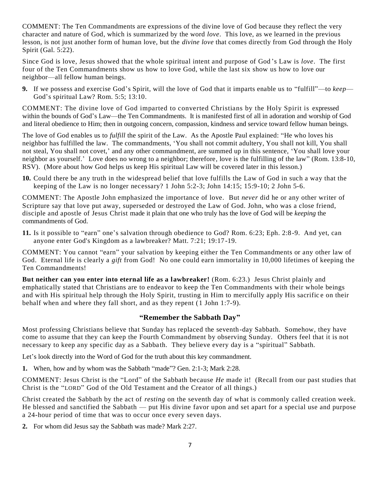COMMENT: The Ten Commandments are expressions of the divine love of God because they reflect the very character and nature of God, which is summarized by the word *love*. This love, as we learned in the previous lesson, is not just another form of human love, but the *divine love* that comes directly from God through the Holy Spirit (Gal. 5:22).

Since God is love, Jesus showed that the whole spiritual intent and purpose of God 's Law is *love*. The first four of the Ten Commandments show us how to love God, while the last six show us how to love our neighbor—all fellow human beings.

**9.** If we possess and exercise God's Spirit, will the love of God that it imparts enable us to "fulfill"—to *keep*— God's spiritual Law? Rom. 5:5; 13:10.

COMMENT: The divine love of God imparted to converted Christians by the Holy Spirit is expressed within the bounds of God's Law—the Ten Commandments. It is manifested first of all in adoration and worship of God and literal obedience to Him; then in outgoing concern, compassion, kindness and service toward fellow human beings.

The love of God enables us to *fulfill* the spirit of the Law. As the Apostle Paul explained: "He who loves his neighbor has fulfilled the law. The commandments, 'You shall not commit adultery, You shall not kill, You shall not steal, You shall not covet,' and any other commandment, are summed up in this sentence, 'You shall love your neighbor as yourself.' Love does no wrong to a neighbor; therefore, love is the fulfilling of the law" (Rom. 13:8-10, RSV). (More about how God helps us keep His spiritual Law will be covered later in this lesson.)

**10.** Could there be any truth in the widespread belief that love fulfills the Law of God in such a way that the keeping of the Law is no longer necessary? 1 John  $5:2-3$ ; John  $14:15$ ;  $15:9-10$ ; 2 John  $5-6$ .

COMMENT: The Apostle John emphasized the importance of love. But *never* did he or any other writer of Scripture say that love put away, superseded or destroyed the Law of God. John, who was a close friend, disciple and apostle of Jesus Christ made it plain that one who truly has the love of God will be *keeping* the commandments of God.

**11.** Is it possible to "earn" one's salvation through obedience to God? Rom. 6:23; Eph. 2:8-9. And yet, can anyone enter God's Kingdom as a lawbreaker? Matt. 7:21; 19:17-19.

COMMENT: You cannot "earn" your salvation by keeping either the Ten Commandments or any other law of God. Eternal life is clearly a *gift* from God! No one could earn immortality in 10,000 lifetimes of keeping the Ten Commandments!

**But neither can you enter into eternal life as a lawbreaker!** (Rom. 6:23.) Jesus Christ plainly and emphatically stated that Christians are to endeavor to keep the Ten Commandments with their whole beings and with His spiritual help through the Holy Spirit, trusting in Him to mercifully apply His sacrific e on their behalf when and where they fall short, and as they repent (1 John 1:7-9).

#### **"Remember the Sabbath Day"**

Most professing Christians believe that Sunday has replaced the seventh-day Sabbath. Somehow, they have come to assume that they can keep the Fourth Commandment by observing Sunday. Others feel that it is not necessary to keep any specific day as a Sabba th. They believe every day is a "spiritual" Sabbath.

Let's look directly into the Word of God for the truth about this key commandment.

**1.** When, how and by whom was the Sabbath "made"? Gen. 2:1-3; Mark 2:28.

COMMENT: Jesus Christ is the "Lord" of the Sabbath because *He* made it! (Recall from our past studies that Christ is the "LORD" God of the Old Testament and the Creator of all things.)

Christ created the Sabbath by the act of *resting* on the seventh day of what is commonly called creation week. He blessed and sanctified the Sabbath — put His divine favor upon and set apart for a special use and purpose a 24-hour period of time that was to occur once every seven days.

**2.** For whom did Jesus say the Sabbath was made? Mark 2:27.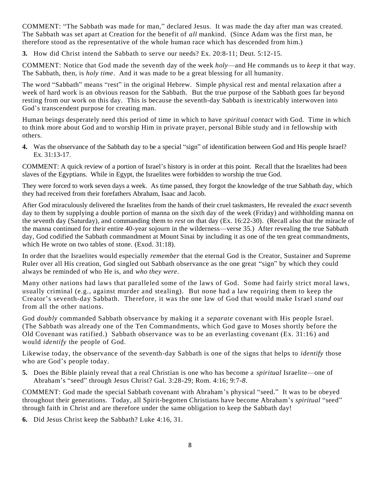COMMENT: "The Sabbath was made for man," declared Jesus. It was made the day after man was created. The Sabbath was set apart at Creation for the benefit of *all* mankind. (Since Adam was the first man, he therefore stood as the representative of the whole human race which has descended from him.)

**3.** How did Christ intend the Sabbath to serve our needs? Ex. 20:8-11; Deut. 5:12-15.

COMMENT: Notice that God made the seventh day of the week *holy*—and He commands us to *keep* it that way. The Sabbath, then, is *holy time*. And it was made to be a great blessing for all humanity.

The word "Sabbath" means "rest" in the original Hebrew. Simple physical rest and mental relaxation after a week of hard work is an obvious reason for the Sabbath. But the true purpose of the Sabbath goes far beyond resting from our work on this day. This is because the seventh-day Sabbath is inextricably interwoven into God's transcendent purpose for creating man.

Human beings desperately need this period of time in which to have *spiritual contact* with God. Time in which to think more about God and to worship Him in private prayer, personal Bible study and in fellowship with others.

**4.** Was the observance of the Sabbath day to be a special "sign" of identification between God and His people Israel? Ex. 31:13-17.

COMMENT: A quick review of a portion of Israel's history is in order at this point. Recall that the Israelites had been slaves of the Egyptians. While in Egypt, the Israelites were forbidden to worship the true God.

They were forced to work seven days a week. As time passed, they forgot the knowledge of the true Sabbath day, which they had received from their forefathers Abraham, Isaac and Jacob.

After God miraculously delivered the Israelites from the hands of their cruel taskmasters, He revealed the *exact* seventh day to them by supplying a double portion of manna on the sixth day of the week (Friday) and withholding manna on the seventh day (Saturday), and commanding them to *rest* on that day (Ex. 16:22-30). (Recall also that the miracle of the manna continued for their entire 40-year sojourn in the wilderness—verse 35.) After revealing the true Sabbath day, God codified the Sabbath commandment at Mount Sinai by including it as one of the ten great commandments, which He wrote on two tables of stone. (Exod. 31:18).

In order that the Israelites would especially *remember* that the eternal God is the Creator, Sustainer and Supreme Ruler over all His creation, God singled out Sabbath observance as the one great "sign" by which they could always be reminded of who He is, and *who they were*.

Many other nations had laws that paralleled some of the laws of God. Some had fairly strict moral laws, usually criminal (e.g., against murder and stealing). But none had a law requiring them to keep the Creator's seventh-day Sabbath. Therefore, it was the one law of God that would make Israel *stand out* from all the other nations.

God *doubly* commanded Sabbath observance by making it a *separate* covenant with His people Israel. (The Sabbath was already one of the Ten Commandments, which God gave to Moses shortly before the Old Covenant was ratified.) Sabbath observance was to be an everlasting covenant (Ex. 31:16) and would *identify* the people of God.

Likewise today, the observance of the seventh-day Sabbath is one of the signs that helps to *identify* those who are God's people today.

**5.** Does the Bible plainly reveal that a real Christian is one who has become a *spiritual* Israelite—one of Abraham's "seed" through Jesus Christ? Gal. 3:28-29; Rom. 4:16; 9:7-*8.*

COMMENT: God made the special Sabbath covenant with Abraham's physical "seed." It was to be obeyed throughout their generations. Today, all Spirit-begotten Christians have become Abraham's *spiritual* "seed" through faith in Christ and are therefore under the same obligation to keep the Sabbath day!

**6.** Did Jesus Christ keep the Sabbath? Luke 4:16, 31.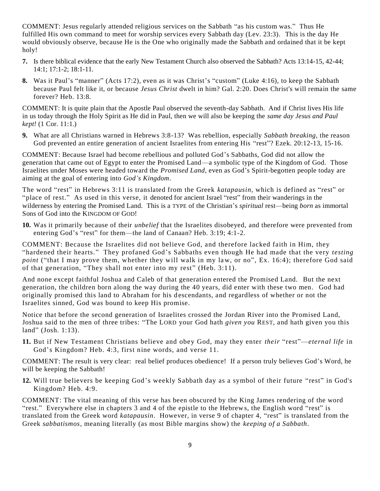COMMENT: Jesus regularly attended religious services on the Sabbath "as his custom was." Thus He fulfilled His own command to meet for worship services every Sabbath day (Lev. 23:3). This is the day He would obviously observe, because He is the One who originally made the Sabbath and ordained that it be kept holy!

- **7.** Is there biblical evidence that the early New Testament Church also observed the Sabbath? Acts 13:14-15, 42-44; 14:1; 17:1-2; 18:1-11.
- **8.** Was it Paul's "manner" (Acts 17:2), even as it was Christ's "custom" (Luke 4:16), to keep the Sabbath because Paul felt like it, or because *Jesus Christ* dwelt in him? Gal. 2:20. Does Christ's will remain the same forever? Heb. 13:8.

COMMENT: It is quite plain that the Apostle Paul observed the seventh-day Sabbath. And if Christ lives His life in us today through the Holy Spirit as He did in Paul, then we will also be keeping the *same day Jesus and Paul kept!* (1 Cor. 11:1.)

**9.** What are all Christians warned in Hebrews 3:8-13? Was rebellion, especially *Sabbath breaking*, the reason God prevented an entire generation of ancient Israelites from entering His "rest"? Ezek. 20:12-13, 15-16.

COMMENT: Because Israel had become rebellious and polluted God's Sabbaths, God did not allow the generation that came out of Egypt to enter the Promised Land—a symbolic type of the Kingdom of God. Those Israelites under Moses were headed toward the *Promised Land*, even as God's Spirit-begotten people today are aiming at the goal of entering into *God's Kingdom*.

The word "rest" in Hebrews 3:11 is translated from the Greek *katapausin*, which is defined as "rest" or "place of rest." As used in this verse, it denoted for ancient Israel "rest" from their wanderings in the wilderness by entering the Promised Land. This is a TYPE of the Christian's *spiritual* rest—being *born* as immortal Sons of God into the KINGDOM OF GOD!

**10.** Was it primarily because of their *unbelief* that the Israelites disobeyed, and therefore were prevented from entering God's "rest" for them—the land of Canaan? Heb. 3:19; 4:1-2.

COMMENT: Because the Israelites did not believe God, and therefore lacked faith in Him, they "hardened their hearts." They profaned God's Sabbaths even though He had made that the very *testing point* ("that I may prove them, whether they will walk in my law, or no", Ex. 16:4); therefore God said of that generation, "They shall not enter into my rest" (Heb. 3:11).

And none except faithful Joshua and Caleb of that generation entered the Promised Land. But the next generation, the children born along the way during the 40 years, did enter with these two men. God had originally promised this land to Abraham for his d escendants, and regardless of whether or not the Israelites sinned, God was bound to keep His promise.

Notice that before the second generation of Israelites crossed the Jordan River into the Promised Land, Joshua said to the men of three tribes: "The LORD your God hath *given you* REST, and hath given you this land" (Josh. 1:13).

**11.** But if New Testament Christians believe and obey God, may they enter *their* "rest"—*eternal life* in God's Kingdom? Heb. 4:3, first nine words, and verse 11.

COMMENT: The result is very clear: real belief produces obedience! If a person truly believes God's Word, he will be keeping the Sabbath!

**12.** Will true believers be keeping God's weekly Sabbath day as a symbol of their future "rest" in God's Kingdom? Heb. 4:9.

COMMENT: The vital meaning of this verse has been obscured by the King James rendering of the word "rest." Everywhere else in chapters 3 and 4 of the epistle to the Hebrews, the English word "rest" is translated from the Greek word *katapausin*. However, in verse 9 of chapter 4, "rest" is translated from the Greek *sabbatismos*, meaning literally (as most Bible margins show) the *keeping of a Sabbath*.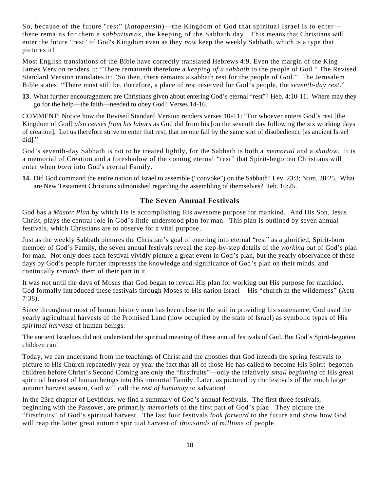So, because of the future "rest" (*katapausin*)—the Kingdom of God that spiritual Israel is to enter there remains for them a *sabbatismos*, the keeping of the Sabbath day. This means that Christians will enter the future "rest" of God's Kingdom even as they *now* keep the weekly Sabbath, which is a type that pictures it!

Most English translations of the Bible have correctly translated Hebrews 4:9. Even the margin of the King James Version renders it: "There remaineth therefore a *keeping of a sabbath* to the people of God." The Revised Standard Version translates it: "So then, there remains a sabbath rest for the people of God." The Jerusalem Bible states: "There must still be, therefore, a place of rest reserved for God's people, the *seventh-day rest*."

**13.** What further encouragement are Christians given about entering God's eternal "rest"? Heb. 4:10-11. Where may they go for the help—the faith—needed to obey God? Verses 14-16.

COMMENT: Notice how the Revised Standard Version renders verses 10-11: "For whoever enters God's rest [the Kingdom of God] *also ceases from his labors* as God did from his [on the seventh day following the six working days of creation]. Let us therefore strive to enter that rest, that no one fall by the same sort of disobedience [as ancient Israel did]."

God's seventh-day Sabbath is not to be treated lightly, for the Sabbath is both a *memorial* and a *shadow*. It is a memorial of Creation and a foreshadow of the coming eternal "rest" that Spirit-begotten Christians will enter when *born* into God's eternal Family.

**14.** Did God command the entire nation of Israel to assemble ("convoke") on the Sabbath? Lev. 23:3; Num. 28:25. What are New Testament Christians admonished regarding the assembling of themselves? Heb. 10:25.

#### **The Seven Annual Festivals**

God has a *Master Plan* by which He is accomplishing His awesome purpose for mankind. And His Son, Jesus Christ, plays the central role in God's little-understood plan for man. This plan is outlined by seven annual festivals, which Christians are to observe for a vital purpose.

Just as the weekly Sabbath pictures the Christian's goal of entering into eternal "rest" as a glorified, Spirit-born member of God's Family, the seven annual festivals reveal the step-by-step details of the *working out* of God's plan for man. Not only does each festival vividly picture a great event in God's plan, but the yearly observance of these days by God's people further impresses the knowledge and significance of God's plan on their minds, and continually *reminds* them of their part in it.

It was not until the days of Moses that God began to reveal His plan for working out His purpose for mankind. God formally introduced these festivals through Moses to His nation Israel—His "church in the wilderness" (Acts 7:38).

Since throughout most of human history man has been close to the soil in providing his sustenance, God used the yearly agricultural harvests of the Promised Land (now occupied by the state of Israel) as symbolic types of His *spiritual harvests* of human beings.

The ancient Israelites did not understand the spiritual meaning of these annual festivals of God. But God's Spirit-begotten children can!

Today, we can understand from the teachings of Christ and the apostles that God intends the spring festivals to picture to His Church repeatedly year by year the fact that all of those He has called to become His Spirit-begotten children before Christ's Second Coming are only the "firstfruits"—only the relatively *small beginning* of His great spiritual harvest of human beings into His immortal Family. Later, as pictured by the festivals of the much larger autumn harvest season, God will call the *rest of humanity* to salvation!

In the 23rd chapter of Leviticus, we find a summary of God's annual festivals. The first three festivals, beginning with the Passover, are primarily *memorials* of the first part of God's plan. They picture the "firstfruits" of God's spiritual harvest. The last four festivals *look forward* to the future and show how God will reap the latter great autumn spiritual harvest of *thousands of millions* of people.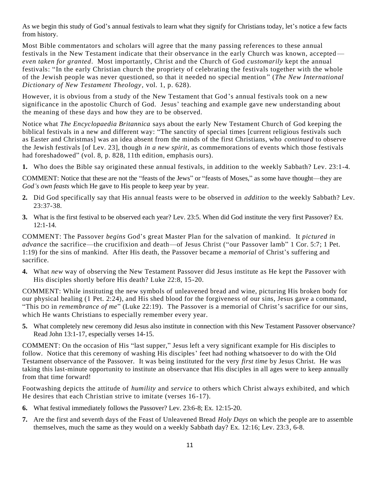As we begin this study of God's annual festivals to learn what they signify for Christians today, let's notice a few facts from history.

Most Bible commentators and scholars will agree that the many passing references to these annual festivals in the New Testament indicate that their observance in the early Church was known, accepted *even taken for granted*. Most importantly, Christ and the Church of God *customarily* kept the annual festivals: "In the early Christian church the propriety of celebrating the festivals together with the whole of the Jewish people was never questioned, so that it needed no special mention " (*The New International Dictionary of New Testament Theology*, vol. 1, p. 628).

However, it is obvious from a study of the New Testament that God 's annual festivals took on a new significance in the apostolic Church of God. Jesus' teaching and example gave new understanding about the meaning of these days and how they are to be observed.

Notice what *The Encyclopaedia Britannica* says about the early New Testament Church of God keeping the biblical festivals in a new and different way: "The sanctity of special times [current religious festivals such as Easter and Christmas] was an idea absent from the minds of the first Christians, who *continued* to observe the Jewish festivals [of Lev. 23], though *in a new spirit*, as commemorations of events which those festivals had foreshadowed" (vol. 8, p. 828, 11th edition, emphasis ours).

**1.** Who does the Bible say originated these annual festivals, in addition to the weekly Sabbath? Lev. 23:1-4.

COMMENT: Notice that these are not the "feasts of the Jews" or "feasts of Moses," as some have thought—they are *God's own feasts* which He gave to His people to keep year by year.

- **2.** Did God specifically say that His annual feasts were to be observed in *addition* to the weekly Sabbath? Lev. 23:37-38.
- **3.** What is the first festival to be observed each year? Lev. 23:5. When did God institute the very first Passover? Ex. 12:1-14.

COMMENT: The Passover *begins* God's great Master Plan for the salvation of mankind. It *pictured in advance* the sacrifice—the crucifixion and death—of Jesus Christ ("our Passover lamb" 1 Cor. 5:7; 1 Pet. 1:19) for the sins of mankind. After His death, the Passover became a *memorial* of Christ's suffering and sacrifice.

**4.** What *new* way of observing the New Testament Passover did Jesus institute as He kept the Passover with His disciples shortly before His death? Luke 22:8, 15-20.

COMMENT: While instituting the new symbols of unleavened bread and wine, picturing His broken body for our physical healing (1 Pet. 2:24), and His shed blood for the forgiveness of our sins, Jesus gave a command, "This DO in *remembrance of me*" (Luke 22:19). The Passover is a memorial of Christ's sacrifice for our sins, which He wants Christians to especially remember every year.

**5.** What completely new ceremony did Jesus also institute in connection with this New Testament Passover observance? Read John 13:1-17, especially verses 14-15.

COMMENT: On the occasion of His "last supper," Jesus left a very significant example for His disciples to follow. Notice that this ceremony of washing His disciples' feet had nothing whatsoever to do with the Old Testament observance of the Passover. It was being instituted for the very *first time* by Jesus Christ. He was taking this last-minute opportunity to institute an observance that His disciples in all ages were to keep annually from that time forward!

Footwashing depicts the attitude of *humility* and *service* to others which Christ always exhibited, and which He desires that each Christian strive to imitate (verses 16-17).

- **6.** What festival immediately follows the Passover? Lev. 23:6-8; Ex. 12:15-20.
- **7.** Are the first and seventh days of the Feast of Unleavened Bread *Holy Days* on which the people are to assemble themselves, much the same as they would on a weekly Sabbath day? Ex. 12:16; Lev. 23:3, 6-8.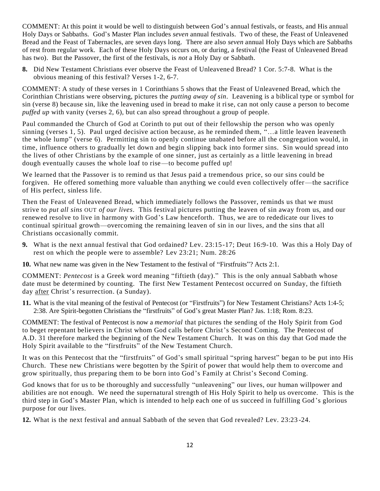COMMENT: At this point it would be well to distinguish between God's annual festivals, or feasts, and His annual Holy Days or Sabbaths. God's Master Plan includes *seven* annual festivals. Two of these, the Feast of Unleavened Bread and the Feast of Tabernacles, are seven days long. There are also *seven* annual Holy Days which are Sabbaths of rest from regular work. Each of these Holy Days occurs on, or during, a festival (the Feast of Unleavened Bread has two). But the Passover, the first of the festivals, is *not* a Holy Day or Sabbath.

**8.** Did New Testament Christians ever observe the Feast of Unleavened Bread? 1 Cor. 5:7-8. What is the obvious meaning of this festival? Verses 1-2, 6-7.

COMMENT: A study of these verses in 1 Corinthians 5 shows that the Feast of Unleavened Bread, which the Corinthian Christians were observing, pictures the *putting away of sin*. Leavening is a biblical type or symbol for sin (verse 8) because sin, like the leavening used in bread to make it rise, can not only cause a person to become *puffed up* with vanity (verses 2, 6), but can also spread throughout a group of people.

Paul commanded the Church of God at Corinth to put out of their fellowship the person who was openly sinning (verses 1, 5). Paul urged decisive action because, as he reminded them, "…a little leaven leaveneth the whole lump" (verse 6). Permitting sin to openly continue unabated before all the congregation would, in time, influence others to gradually let down and begin slipping back into former sins. Sin would spread into the lives of other Christians by the example of one sinner, just as certainly as a little leavening in bread dough eventually causes the whole loaf to rise—to become puffed up!

We learned that the Passover is to remind us that Jesus paid a tremendous price, so our sins could be forgiven. He offered something more valuable than anything we could even collectively offer—the sacrifice of His perfect, sinless life.

Then the Feast of Unleavened Bread, which immediately follows the Passover, reminds us that we must strive to *put all sins* OUT *of our lives*. This festival pictures putting the leaven of sin away from us, and our renewed resolve to live in harmony with God's Law henceforth. Thus, we are to rededicate our lives to continual spiritual growth—overcoming the remaining leaven of sin in our lives, and the sins that all Christians occasionally commit.

- **9.** What is the next annual festival that God ordained? Lev. 23:15-17; Deut 16:9-10. Was this a Holy Day of rest on which the people were to assemble? Lev 23:21; Num. 28:26
- **10.** What new name was given in the New Testament to the festival of "Firstfruits"? Acts 2:1.

COMMENT: *Pentecost* is a Greek word meaning "fiftieth (day)." This is the only annual Sabbath whose date must be determined by counting. The first New Testament Pentecost occurred on Sunday, the fiftieth day after Christ's resurrection. (a Sunday).

**11.** What is the vital meaning of the festival of Pentecost (or "Firstfruits") for New Testament Christians? Acts 1:4-5; 2:38. Are Spirit-begotten Christians the "firstfruits" of God's great Master Plan? Jas. 1:18; Rom. 8:23.

COMMENT: The festival of Pentecost is now a *memorial* that pictures the sending of the Holy Spirit from God to beget repentant believers in Christ whom God calls before Christ's Second Coming. The Pentecost of A.D. 31 therefore marked the beginning of the New Testament Church. It was on this day that God made the Holy Spirit available to the "firstfruits" of the New Testament Church.

It was on this Pentecost that the "firstfruits" of God's small spiritual "spring harvest" began to be put into His Church. These new Christians were begotten by the Spirit of power that would help them to overcome and grow spiritually, thus preparing them to be born into God's Family at Christ's Second Coming.

God knows that for us to be thoroughly and successfully "unleavening" our lives, our human willpower and abilities are not enough. We need the supernatural strength of His Holy Spirit to help us overcome. This is the third step in God's Master Plan, which is intended to help each one of us succeed in fulfilling God 's glorious purpose for our lives.

**12.** What is the next festival and annual Sabbath of the seven that God revealed? Lev. 23:23 -24.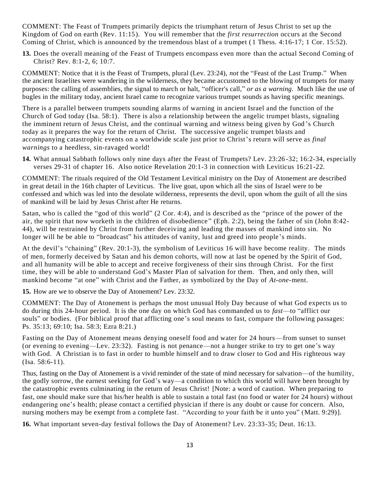COMMENT: The Feast of Trumpets primarily depicts the triumphant return of Jesus Christ to set up the Kingdom of God on earth (Rev. 11:15). You will remember that the *first resurrection* occurs at the Second Coming of Christ, which is announced by the tremendous blast of a trumpet ( 1 Thess. 4:16-17; 1 Cor. 15:52).

**13.** Does the overall meaning of the Feast of Trumpets encompass even more than the actual Second Coming of Christ? Rev. 8:1-2, 6; 10:7.

COMMENT: Notice that it is the Feast of Trumpets, plural (Lev. 23:24), *not* the "Feast of the Last Trump." When the ancient Israelites were wandering in the wilderness, they became accustomed to the blowing of trumpets for many purposes: the calling of assemblies, the signal to march or halt, "officer's call," *or as a warning*. Much like the use of bugles in the military today, ancient Israel came to recognize various trumpet sounds as having specific meanings.

There is a parallel between trumpets sounding alarms of warning in ancient Israel and the function of the Church of God today (Isa. 58:1). There is also a relationship between the angelic trumpet blasts, signaling the imminent return of Jesus Christ, and the continual warning and witness being given by God 's Church today as it prepares the way for the return of Christ. The successive angelic trumpet blasts and accompanying catastrophic events on a worldwide scale just prior to Christ's return will serve as *final warnings* to a heedless, sin-ravaged world!

**14.** What annual Sabbath follows only nine days after the Feast of Trumpets? Lev. 23:26 -32; 16:2-34, especially verses 29-31 of chapter 16. Also notice Revelation 20:1-3 in connection with Leviticus 16:21-22.

COMMENT: The rituals required of the Old Testament Levitical ministry on the Day of Atonement are described in great detail in the 16th chapter of Leviticus. The live goat, upon which all the sins of Israel were to be confessed and which was led into the desolate wilderness, represents the devil, upon whom the guilt of all the sins of mankind will be laid by Jesus Christ after He returns.

Satan, who is called the "god of this world" (2 Cor. 4:4), and is described as the "prince of the power of the air, the spirit that now worketh in the children of disobedience " (Eph. 2:2), being the father of sin (John 8:42- 44), will be restrained by Christ from further deceiving and leading the masses of mankind into sin. No longer will he be able to "broadcast" his attitudes of vanity, lust and greed into people's minds.

At the devil's "chaining" (Rev. 20:1-3), the symbolism of Leviticus 16 will have become reality. The minds of men, formerly deceived by Satan and his demon cohorts, will now at last be opened by the Spirit of God, and all humanity will be able to accept and receive forgiveness of their sins through Christ. For the first time, they will be able to understand God's Master Plan of salvation for them. Then, and only then, will mankind become "at one" with Christ and the Father, as symbolized by the Day of *At-one*-ment.

**15.** How are we to observe the Day of Atonement? Lev. 23:32.

COMMENT: The Day of Atonement is perhaps the most unusual Holy Day because of what God expects us to do during this 24-hour period. It is the one day on which God has commanded us to *fast*—to "afflict our souls" or bodies. (For biblical proof that afflicting one's soul means to fast, compare the following passages: Ps. 35:13; 69:10; Isa. 58:3; Ezra 8:21.)

Fasting on the Day of Atonement means denying oneself food and water for 24 hours—from sunset to sunset (or evening to evening—Lev. 23:32). Fasting is not penance—not a hunger strike to try to get one's way with God. A Christian is to fast in order to humble himself and to draw closer to God and His righteous way (Isa. 58:6-11).

Thus, fasting on the Day of Atonement is a vivid reminder of the state of mind necessary for salvation—of the humility, the godly sorrow, the earnest seeking for God's way—a condition to which this world will have been brought by the catastrophic events culminating in the return of Jesus Christ! [Note: a word of caution. When preparing to fast, one should make sure that his/her health is able to sustain a total fast (no food or water for 24 hours) without endangering one's health; please contact a certified physician if there is any doubt or cause for concern. Also, nursing mothers may be exempt from a complete fast. "According to your faith be it unto you" (Matt. 9:29)].

**16.** What important seven-day festival follows the Day of Atonement? Lev. 23:33-35; Deut. 16:13.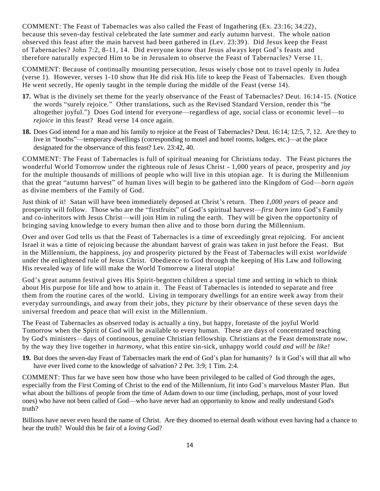COMMENT: The Feast of Tabernacles was also called the Feast of Ingathering (Ex. 23:16; 34:22), because this seven-day festival celebrated the late summer and early autumn harvest. The whole nation observed this feast after the main harvest had been gathered in (Lev. 23:39). Did Jesus keep the Feast of Tabernacles? John 7:2, 8-11, 14. Did everyone know that Jesus always kept God's feasts and therefore naturally expected Him to be in Jerusalem to observe the Feast of Tabernacles? Verse 11.

COMMENT: Because of continually mounting persecution, Jesus wisely chose not to travel openly in Judea (verse 1). However, verses 1-10 show that He did risk His life to keep the Feast of Tabernacles. Even though He went secretly, He openly taught in the temple during the middle of the Feast (verse 14).

- **17.** What is the divinely set theme for the yearly observance of the Feast of Tabernacles? Deut. 16:14 -15. (Notice the words "surely rejoice." Other translations, such as the Revised Standard Version, render th is "be altogether joyful.") Does God intend for everyone—regardless of age, social class or economic level—to *rejoice* in this feast? Read verse 14 once again.
- **18.** Does God intend for a man and his family to rejoice at the Feast of Tabernacles? Deut. 16:14; 12:5, 7, 12. Are they to live in "booths"—temporary dwellings (corresponding to motel and hotel rooms, lodges, etc.)—at the place designated for the observance of this feast? Lev. 23:42, 40.

COMMENT: The Feast of Tabernacles is full of spiritual meaning for Christians today. The Feast pictures the wonderful World Tomorrow under the righteous rule of Jesus Christ - 1,000 years of peace, prosperity and *joy* for the multiple thousands of millions of people who will live in this utopian age. It is during the Millennium that the great "autumn harvest" of human lives will begin to be gathered into the Kingdom of God—*born again* as divine members of the Family of God.

Just think of it! Satan will have been immediately deposed at Christ's return. Then *1,000 years* of peace and prosperity will follow. Those who are the "firstfruits" of God's spiritual harvest—*first born* into God's Family and co-inheritors with Jesus Christ—will join Him in ruling the earth. They will be given the opportunity of bringing saving knowledge to every human then alive and to those born during the Millennium.

Over and over God tells us that the Feast of Tabernacles is a time of exceedingly great rejoicing. For ancient Israel it was a time of rejoicing because the abundant harvest of grain was taken in just before the Feast. But in the Millennium, the happiness, joy and prosperity pictured by the Feast of Tabernacles will exist *worldwide* under the enlightened rule of Jesus Christ. Obedience to God through the keeping of His Law and following His revealed way of life will make the World Tomorrow a literal utopia!

God's great autumn festival gives His Spirit-begotten children a special time and setting in which to think about His purpose for life and how to attain it. The Feast of Tabernacles is intended to separate and free them from the routine cares of the world. Living in temporary dwellings for an entire week away from their everyday surroundings, and away from their jobs, they *picture* by their observance of these seven days the universal freedom and peace that will exist in the Millennium.

The Feast of Tabernacles as observed today is actually a tiny, but happy, foretaste of the joyful World Tomorrow when the Spirit of God will be available to every human. These are days of concentrated teaching by God's ministers—days of continuous, genuine Christian fellowship. Christians at the Feast demonstrate now, by the way they live together in *harmony*, what this entire sin-sick, unhappy world *could and will be like!*

**19.** But does the seven-day Feast of Tabernacles mark the end of God's plan for humanity? Is it God's will that all who have ever lived come to the knowledge of salvation? 2 Pet. 3:9; 1 Tim. 2:4.

COMMENT: Thus far we have seen how those who have been privileged to be called of God through the ages, especially from the First Coming of Christ to the end of the Millennium, fit into God's marvelous Master Plan. But what about the billions of people from the time of Adam down to our time (including, perhaps, most of your loved ones) who have not been called of God—who have never had an opportunity to know and really understand God's truth?

Billions have never even heard the name of Christ. Are they doomed to eternal death without even having had a chance to hear the truth? Would this be fair of a *loving* God?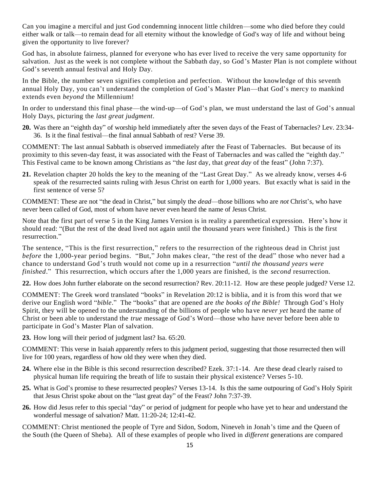Can you imagine a merciful and just God condemning innocent little children—some who died before they could either walk or talk—to remain dead for all eternity without the knowledge of God's way of life and without being given the opportunity to live forever?

God has, in absolute fairness, planned for everyone who has ever lived to receive the very same opportunity for salvation. Just as the week is not complete without the Sabbath day, so God's Master Plan is not complete without God's seventh annual festival and Holy Day.

In the Bible, the number seven signifies completion and perfection. Without the knowledge of this seventh annual Holy Day, you can't understand the completion of God's Master Plan—that God's mercy to mankind extends even *beyond* the Millennium!

In order to understand this final phase—the wind-up—of God's plan, we must understand the last of God's annual Holy Days, picturing the *last great judgment*.

**20.** Was there an "eighth day" of worship held immediately after the seven days of the Feast of Tabernacles? Lev. 23:34- 36. Is it the final festival—the final annual Sabbath of rest? Verse 39.

COMMENT: The last annual Sabbath is observed immediately after the Feast of Tabernacles. But because of its proximity to this seven-day feast, it was associated with the Feast of Tabernacles and was called the "eighth day." This Festival came to be known among Christians as "the *last* day, that *great day* of the feast" (John 7:37).

**21.** Revelation chapter 20 holds the key to the meaning of the "Last Great Day." As we already know, verses 4-6 speak of the resurrected saints ruling with Jesus Christ on earth for 1,000 years. But exactly what is said in the first sentence of verse 5?

COMMENT: These are not "the dead in Christ," but simply the *dead*—those billions who are *not* Christ's, who have never been called of God, most of whom have never even heard the name of Jesus Christ.

Note that the first part of verse 5 in the King James Version is in reality a parenthetical expression. Here's how it should read: "(But the rest of the dead lived not again until the thousand years were finished.) This is the first resurrection."

The sentence, "This is the first resurrection," refers to the resurrection of the righteous dead in Christ just *before* the 1,000-year period begins. "But," John makes clear, "the rest of the dead" those who never had a chance to understand God's truth would not come up in a resurrection "*until the thousand years were finished*." This resurrection, which occurs after the 1,000 years are finished, is the *second* resurrection.

**22.** How does John further elaborate on the second resurrection? Rev. 20:11-12. How are these people judged? Verse 12.

COMMENT: The Greek word translated "books" in Revelation 20:12 is biblia, and it is from this word that we derive our English word "*bible*." The "books" that are opened are *the books of the Bible!* Through God's Holy Spirit, they will be opened to the understanding of the billions of people who have *never yet* heard the name of Christ or been able to understand the *true* message of God's Word—those who have never before been able to participate in God's Master Plan of salvation.

**23.** How long will their period of judgment last? Isa. 65:20.

COMMENT: This verse in Isaiah apparently refers to this judgment period, suggesting that those resurrected then will live for 100 years, regardless of how old they were when they died.

- **24.** Where else in the Bible is this second resurrection described? Ezek. 37:1-14. Are these dead clearly raised to physical human life requiring the breath of life to sustain their physical existence? Verses 5-10.
- **25.** What is God's promise to these resurrected peoples? Verses 13-14. Is this the same outpouring of God's Holy Spirit that Jesus Christ spoke about on the "last great day" of the Feast? John 7:37-39.
- **26.** How did Jesus refer to this special "day" or period of judgment for people who have yet to hear and understand the wonderful message of salvation? Matt. 11:20-24; 12:41-42.

COMMENT: Christ mentioned the people of Tyre and Sidon, Sodom, Nineveh in Jonah's time and the Queen of the South (the Queen of Sheba). All of these examples of people who lived in *different* generations are compared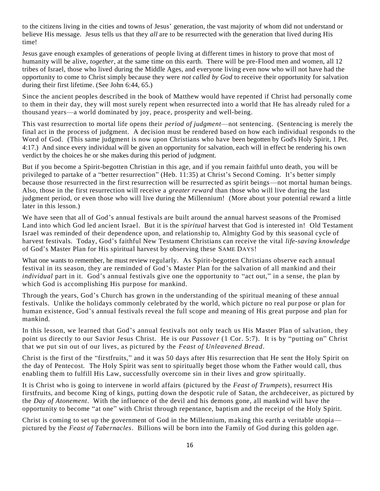to the citizens living in the cities and towns of Jesus' generation, the vast majority of whom did not understand or believe His message. Jesus tells us that they *all* are to be resurrected with the generation that lived during His time!

Jesus gave enough examples of generations of people living at different times in history to prove that most of humanity will be alive, *together*, at the same time on this earth. There will be pre-Flood men and women, all 12 tribes of Israel, those who lived during the Middle Ages, and everyone living even now who will not have had the opportunity to come to Christ simply because they were *not called by God* to receive their opportunity for salvation during their first lifetime. (See John 6:44, 65.)

Since the ancient peoples described in the book of Matthew would have repented if Christ had personally come to them in their day, they will most surely repent when resurrected into a world that He has already ruled for a thousand years—a world dominated by joy, peace, prosperity and well-being.

This vast resurrection to mortal life opens their *period of judgment*—not sentencing. (Sentencing is merely the final act in the process of judgment. A decision must be rendered based on how each individual responds to the Word of God. (This same judgment is now upon Christians who have been begotten by God's Holy Spirit, 1 Pet. 4:17.) And since every individual will be given an opportunity for salvation, each will in effect be rendering his own verdict by the choices he or she makes during this period of judgment.

But if you become a Spirit-begotten Christian in this age, and if you remain faithful unto death, you will be privileged to partake of a "better resurrection" (Heb. 11:35) at Christ's Second Coming. It's better simply because those resurrected in the first resurrection will be resurrected as spirit beings—not mortal human beings. Also, those in the first resurrection will receive a *greater reward* than those who will live during the last judgment period, or even those who will live during the Millennium! (More about your potential reward a little later in this lesson.)

We have seen that all of God's annual festivals are built around the annual harvest seasons of the Promised Land into which God led ancient Israel. But it is the *spiritual* harvest that God is interested in! Old Testament Israel was reminded of their dependence upon, and relationship to, Almighty God by this seasonal cycle of harvest festivals. Today, God's faithful New Testament Christians can receive the vital *life-saving knowledge* of God's Master Plan for His spiritual harvest by observing these SAME DAYS!

What one wants to remember, he must review regularly. As Spirit-begotten Christians observe each annual festival in its season, they are reminded of God's Master Plan for the salvation of all mankind and their *individual* part in it. God's annual festivals give one the opportunity to "act out," in a sense, the plan by which God is accomplishing His purpose for mankind.

Through the years, God's Church has grown in the understanding of the spiritual meaning of these annual festivals. Unlike the holidays commonly celebrated by the world, which picture no real pur pose or plan for human existence, God's annual festivals reveal the full scope and meaning of His great purpose and plan for mankind.

In this lesson, we learned that God's annual festivals not only teach us His Master Plan of salvation, they point us directly to our Savior Jesus Christ. He is our *Passover* (1 Cor. 5:7). It is by "putting on" Christ that we put sin out of our lives, as pictured by the *Feast of Unleavened Bread*.

Christ is the first of the "firstfruits," and it was 50 days after His resurrection that He sent the Holy Spirit on the day of Pentecost. The Holy Spirit was sent to spiritually beget those whom the Father would call, thus enabling them to fulfill His Law, successfully overcome sin in their lives and grow spiritually.

It is Christ who is going to intervene in world affairs (pictured by the *Feast of Trumpets*), resurrect His firstfruits, and become King of kings, putting down the despotic rule of Satan, the archdeceiver, as pictured by the *Day of Atonement*. With the influence of the devil and his demons gone, all mankind will have the opportunity to become "at one" with Christ through repentance, baptism and the receipt of the Holy Spirit.

Christ is coming to set up the government of God in the Millennium, making this earth a veritable utopia pictured by the *Feast of Tabernacles*. Billions will be born into the Family of God during this golden age.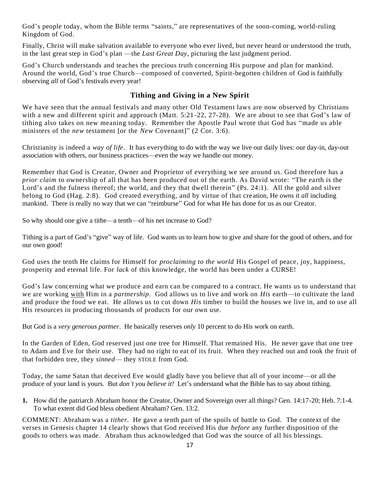God's people today, whom the Bible terms "saints," are representatives of the soon-coming, world-ruling Kingdom of God.

Finally, Christ will make salvation available to everyone who ever lived, but never heard or understood the truth, in the last great step in God's plan —the *Last Great Day*, picturing the last judgment period.

God's Church understands and teaches the precious truth concerning His purpose and plan for mankind. Around the world, God's true Church—composed of converted, Spirit-begotten children of God is faithfully observing *all* of God's festivals every year!

# **Tithing and Giving in a New Spirit**

We have seen that the annual festivals and many other Old Testament laws are now observed by Christians with a new and different spirit and approach (Matt. 5:21-22, 27-28). We are about to see that God's law of tithing also takes on new meaning today. Remember the Apostle Paul wrote that God has "made us able ministers of the *new* testament [or the *New* Covenant]" (2 Cor. 3:6).

Christianity is indeed a *way of life*. It has everything to do with the way we live our daily lives: our day-in, day-out association with others, our business practices—even the way we handle our money.

Remember that God is Creator, Owner and Proprietor of everything we see around us. God therefore has a *prior claim* to ownership of all that has been produced out of the earth. As David wrote: "The earth is the Lord's and the fulness thereof; the world, and they that dwell therein" (Ps. 24:1). All the gold and silver belong to God (Hag. 2:8). God created everything, and by virtue of that creation, He *owns it all* including mankind. There is really no way that we can "reimburse" God for what He has done for us as our Creator.

So why should one give a tithe—a tenth—of his net increase to God?

Tithing is a part of God's "give" way of life. God wants us to learn how to give and share for the good of others, and for our own good!

God uses the tenth He claims for Himself for *proclaiming to the world* His Gospel of peace, joy, happiness, prosperity and eternal life. For *lack* of this knowledge, the world has been under a CURSE!

God's law concerning what we produce and earn can be compared to a contract. He wants us to understand that we are working with Him in a *partnership*. God allows us to live and work on *His* earth—to cultivate the land and produce the food we eat. He allows us to cut down *His* timber to build the houses we live in, and to use all His resources in producing thousands of products for our own use.

But God is a *very generous partner*. He basically reserves *only* 10 percent to do His work on earth.

In the Garden of Eden, God reserved just one tree for Himself. That remained His. He never gave that one tree to Adam and Eve for their use. They had no right to eat of its fruit. When they reached out and took the fruit of that forbidden tree, they *sinned*— they STOLE from God.

Today, the same Satan that deceived Eve would gladly have you believe that all of your income—or all the produce of your land is yours. But *don't you believe it!* Let's understand what the Bible has to say about tithing.

**1.** How did the patriarch Abraham honor the Creator, Owner and Sovereign over all things? Gen. 14:17-20; Heb. 7:1-4. To what extent did God bless obedient Abraham? Gen. 13:2.

COMMENT: Abraham was a *tither*. He gave a tenth part of the spoils of battle to God. The context of the verses in Genesis chapter 14 clearly shows that God received His due *before* any further disposition of the goods to others was made. Abraham thus acknowledged that God was the source of all his blessings.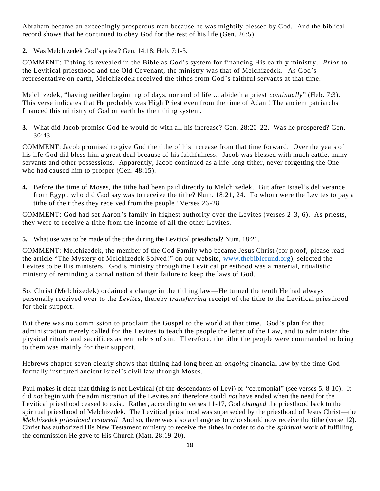Abraham became an exceedingly prosperous man because he was mightily blessed by God. And the biblical record shows that he continued to obey God for the rest of his life (Gen. 26:5).

**2.** Was Melchizedek God's priest? Gen. 14:18; Heb. 7:1-3.

COMMENT: Tithing is revealed in the Bible as God's system for financing His earthly ministry. *Prior* to the Levitical priesthood and the Old Covenant, the ministry was that of Melchizedek. As God's representative on earth, Melchizedek received the tithes from God 's faithful servants at that time.

Melchizedek, "having neither beginning of days, nor end of life ... abideth a priest *continually*" (Heb. 7:3). This verse indicates that He probably was High Priest even from the time of Adam! The ancient patriarchs financed this ministry of God on earth by the tithing system.

**3.** What did Jacob promise God he would do with all his increase? Gen. 28:20 -22. Was he prospered? Gen. 30:43.

COMMENT: Jacob promised to give God the tithe of his increase from that time forward. Over the years of his life God did bless him a great deal because of his faithfulness. Jacob was blessed with much cattle, many servants and other possessions. Apparently, Jacob continued as a life-long tither, never forgetting the One who had caused him to prosper (Gen. 48:15).

**4.** Before the time of Moses, the tithe had been paid directly to Melchizedek. But after Israel's deliverance from Egypt, who did God say was to receive the tithe? Num. 18:21, 24. To whom were the Levites to pay a tithe of the tithes they received from the people? Verses 26-28.

COMMENT: God had set Aaron's family in highest authority over the Levites (verses 2-3, 6). As priests, they were to receive a tithe from the income of all the other Levites.

**5.** What use was to be made of the tithe during the Levitical priesthood? Num. 18:21.

COMMENT: Melchizedek, the member of the God Family who became Jesus Christ (for proof, please read the article "The Mystery of Melchizedek Solved!" on our website, [www.thebiblefund.org\)](http://www.thebiblefund.org/), selected the Levites to be His ministers. God's ministry through the Levitical priesthood was a material, ritualistic ministry of reminding a carnal nation of their failure to keep the laws of God.

So, Christ (Melchizedek) ordained a change in the tithing law—He turned the tenth He had always personally received over to the *Levites*, thereby *transferring* receipt of the tithe to the Levitical priesthood for their support.

But there was no commission to proclaim the Gospel to the world at that time. God's plan for that administration merely called for the Levites to teach the people the letter of the Law, and to administer the physical rituals and sacrifices as reminders of sin. Therefore, the tithe the people were commanded to bring to them was mainly for their support.

Hebrews chapter seven clearly shows that tithing had long been an *ongoing* financial law by the time God formally instituted ancient Israel's civil law through Moses.

Paul makes it clear that tithing is not Levitical (of the descendants of Levi) or "ceremonial" (see verses 5, 8-10). It did *not* begin with the administration of the Levites and therefore could *not* have ended when the need for the Levitical priesthood ceased to exist. Rather, according to verses 11-17, God *changed* the priesthood back to the spiritual priesthood of Melchizedek. The Levitical priesthood was superseded by the priesthood of Jesus Christ—the *Melchizedek priesthood restored!* And so, there was also a change as to who should now receive the tithe (verse 12). Christ has authorized His New Testament ministry to receive the tithes in order to do the *spiritual* work of fulfilling the commission He gave to His Church (Matt. 28:19-20).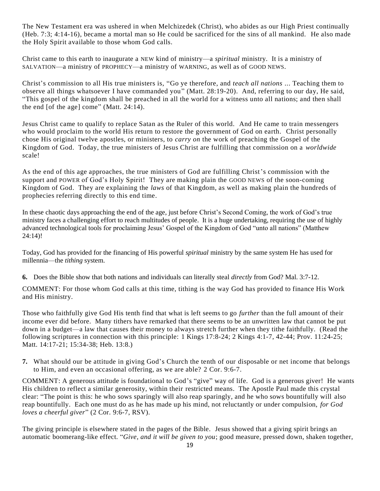The New Testament era was ushered in when Melchizedek (Christ), who abides as our High Priest continually (Heb. 7:3; 4:14-16), became a mortal man so He could be sacrificed for the sins of all mankind. He also made the Holy Spirit available to those whom God calls.

Christ came to this earth to inaugurate a NEW kind of ministry—a *spiritual* ministry. It is a ministry of SALVATION—a ministry of PROPHECY—a ministry of WARNING, as well as of GOOD NEWS.

Christ's commission to all His true ministers is, "Go ye therefore, and *teach all nations* ... Teaching them to observe all things whatsoever I have commanded you" (Matt. 28:19-20). And, referring to our day, He said, "This gospel of the kingdom shall be preached in all the world for a witness unto all nations; and then shall the end [of the age] come" (Matt. 24:14).

Jesus Christ came to qualify to replace Satan as the Ruler of this world. And He came to train messengers who would proclaim to the world His return to restore the government of God on earth. Christ personally chose His original twelve apostles, or ministers, to *carry on* the work of preaching the Gospel of the Kingdom of God. Today, the true ministers of Jesus Christ are fulfilling that commission on a *worldwide* scale!

As the end of this age approaches, the true ministers of God are fulfilling Christ's commission with the support and POWER of God's Holy Spirit! They are making plain the GOOD NEWS of the soon-coming Kingdom of God. They are explaining the *laws* of that Kingdom, as well as making plain the hundreds of prophecies referring directly to this end time.

In these chaotic days approaching the end of the age, just before Christ's Second Coming, the work of God's true ministry faces a challenging effort to reach multitudes of people. It is a huge undertaking, requiring the use of highly advanced technological tools for proclaiming Jesus' Gospel of the Kingdom of God "unto all nations" (Matthew 24:14)!

Today, God has provided for the financing of His powerful *spiritual* ministry by the same system He has used for millennia—the *tithing* system.

**6.** Does the Bible show that both nations and individuals can literally steal *directly* from God? Mal. 3:7-12.

COMMENT: For those whom God calls at this time, tithing is the way God has provided to finance His Work and His ministry.

Those who faithfully give God His tenth find that what is left seems to go *further* than the full amount of their income ever did before. Many tithers have remarked that there seems to be an unwritten law that cannot be put down in a budget—a law that causes their money to always stretch further when they tithe faithfully. (Read the following scriptures in connection with this principle: 1 Kings 17:8-24; 2 Kings 4:1-7, 42-44; Prov. 11:24-25; Matt. 14:17-21; 15:34-38; Heb. 13:8.)

**7.** What should our be attitude in giving God's Church the tenth of our disposable or net income that belongs to Him, and even an occasional offering, as we are able? 2 Cor. 9:6-7.

COMMENT: A generous attitude is foundational to God's "give" way of life. God is a generous giver! He wants His children to reflect a similar generosity, within their restricted means. The Apostle Paul made this crystal clear: "The point is this: he who sows sparingly will also reap sparingly, and he who sows bountifully will also reap bountifully. Each one must do as he has made up his mind, not reluctantly or under compulsion, *for God loves a cheerful giver*" (2 Cor. 9:6-7, RSV).

The giving principle is elsewhere stated in the pages of the Bible. Jesus showed that a giving spirit brings an automatic boomerang-like effect. "*Give, and it will be given to you*; good measure, pressed down, shaken together,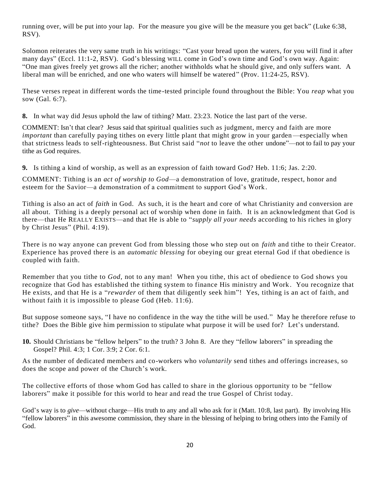running over, will be put into your lap. For the measure you give will be the measure you get back" (Luke 6:38, RSV).

Solomon reiterates the very same truth in his writings: "Cast your bread upon the waters, for you will find it after many days" (Eccl. 11:1-2, RSV). God's blessing WILL come in God's own time and God's own way. Again: "One man gives freely yet grows all the richer; another withholds what he should give, and only suffers want. A liberal man will be enriched, and one who waters will himself be watered" (Prov. 11:24-25, RSV).

These verses repeat in different words the time-tested principle found throughout the Bible: You *reap* what you sow (Gal. 6:7).

**8.** In what way did Jesus uphold the law of tithing? Matt. 23:23. Notice the last part of the verse.

COMMENT: Isn't that clear? Jesus said that spiritual qualities such as judgment, mercy and faith are more *important* than carefully paying tithes on every little plant that might grow in your garden—especially when that strictness leads to self-righteousness. But Christ said "*not* to leave the other undone"—not to fail to pay your tithe as God requires.

**9.** Is tithing a kind of worship, as well as an expression of faith toward God? Heb. 11:6; Jas. 2:20.

COMMENT: Tithing is an *act of worship to God*—a demonstration of love, gratitude, respect, honor and esteem for the Savior—a demonstration of a commitment to support God's Work.

Tithing is also an act of *faith* in God. As such, it is the heart and core of what Christianity and conversion are all about. Tithing is a deeply personal act of worship when done in faith. It is an acknowledgment that God is there—that He REALLY EXISTS—and that He is able to "*supply all your needs* according to his riches in glory by Christ Jesus" (Phil. 4:19).

There is no way anyone can prevent God from blessing those who step out on *faith* and tithe to their Creator. Experience has proved there is an *automatic blessing* for obeying our great eternal God if that obedience is coupled with faith.

Remember that you tithe to *God*, not to any man! When you tithe, this act of obedience to God shows you recognize that God has established the tithing system to finance His ministry and Work . You recognize that He exists, and that He is a "*rewarder* of them that diligently seek him"! Yes, tithing is an act of faith, and without faith it is impossible to please God (Heb. 11:6).

But suppose someone says, "I have no confidence in the way the tithe will be used." May he therefore refuse to tithe? Does the Bible give him permission to stipulate what purpose it will be used for? Let's understand.

**10.** Should Christians be "fellow helpers" to the truth? 3 John 8. Are they "fellow laborers" in spreading the Gospel? Phil. 4:3; 1 Cor. 3:9; 2 Cor. 6:1.

As the number of dedicated members and co-workers who *voluntarily* send tithes and offerings increases, so does the scope and power of the Church's work.

The collective efforts of those whom God has called to share in the glorious opportunity to be "fellow laborers" make it possible for this world to hear and read the true Gospel of Christ today.

God's way is to *give*—without charge—His truth to any and all who ask for it (Matt. 10:8, last part). By involving His "fellow laborers" in this awesome commission, they share in the blessing of helping to bring others into the Family of God.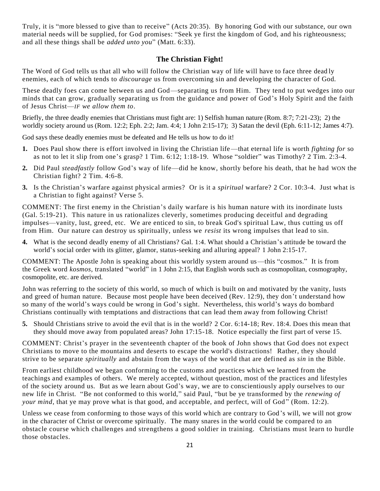Truly, it is "more blessed to give than to receive" (Acts 20:35). By honoring God with our substance, our own material needs will be supplied, for God promises: "Seek ye first the kingdom of God, and his righteousness; and all these things shall be *added unto you*" (Matt. 6:33).

## **The Christian Fight!**

The Word of God tells us that all who will follow the Christian way of life will have to face three dead ly enemies, each of which tends to *discourage* us from overcoming sin and developing the character of God.

These deadly foes can come between us and God—separating us from Him. They tend to put wedges into our minds that can grow, gradually separating us from the guidance and power of God's Holy Spirit and the faith of Jesus Christ—*IF we allow them to*.

Briefly, the three deadly enemies that Christians must fight are: 1) Selfish human nature (Rom. 8:7; 7:21-23); 2) the worldly society around us (Rom. 12:2; Eph. 2:2; Jam. 4:4; 1 John 2:15-17); 3) Satan the devil (Eph. 6:11-12; James 4:7).

God says these deadly enemies must be defeated and He tells us how to do it!

- **1.** Does Paul show there is effort involved in living the Christian life—that eternal life is worth *fighting for* so as not to let it slip from one's grasp? 1 Tim. 6:12; 1:18-19. Whose "soldier" was Timothy? 2 Tim. 2:3-4.
- **2.** Did Paul *steadfastly* follow God's way of life—did he know, shortly before his death, that he had WON the Christian fight? 2 Tim. 4:6-8.
- **3.** Is the Christian's warfare against physical armies? Or is it a *spiritual* warfare? 2 Cor. 10:3-4. Just what is a Christian to fight against? Verse 5.

COMMENT: The first enemy in the Christian's daily warfare is his human nature with its inordinate lusts (Gal. 5:19-21). This nature in us rationalizes cleverly, sometimes producing deceitful and degrading impulses—vanity, lust, greed, etc. We are enticed to sin, to break God's spiritual Law, thus cutting us off from Him. Our nature can destroy us spiritually, unless we *resist* its wrong impulses that lead to sin.

**4.** What is the second deadly enemy of all Christians? Gal. 1:4. What should a Christian's attitude be toward the world's social order with its glitter, glamor, status-seeking and alluring appeal? 1 John 2:15-17.

COMMENT: The Apostle John is speaking about this worldly system around us—this "cosmos." It is from the Greek word *kosmos*, translated "world" in 1 John 2:15, that English words such as cosmopolitan, cosmography, cosmopolite, etc. are derived.

John was referring to the society of this world, so much of which is built on and motivated by the vanity, lusts and greed of human nature. Because most people have been deceived (Rev. 12:9), they don't understand how so many of the world's ways could be wrong in God's sight. Nevertheless, this world's ways do bombard Christians continually with temptations and distractions that can lead them away from following Christ!

**5.** Should Christians strive to avoid the evil that is in the world? 2 Cor. 6:14-18; Rev. 18:4. Does this mean that they should move away from populated areas? John 17:15-18. Notice especially the first part of verse 15.

COMMENT: Christ's prayer in the seventeenth chapter of the book of John shows that God does not expect Christians to move to the mountains and deserts to escape the world's distractions! Rather, they should strive to be separate *spiritually* and abstain from the ways of the world that are defined as *sin* in the Bible.

From earliest childhood we began conforming to the customs and practices which we learned from the teachings and examples of others. We merely accepted, without question, most of the practices and lifestyles of the society around us. But as we learn about God's way, we are to conscientiously apply ourselves to our new life in Christ. "Be not conformed to this world," said Paul, "but be ye transformed by the *renewing of your mind*, that ye may prove what is that good, and acceptable, and perfect, will of God" (Rom. 12:2).

Unless we cease from conforming to those ways of this world which are contrary to God's will, we will not grow in the character of Christ or overcome spiritually. The many snares in the world could be compared to an obstacle course which challenges and strengthens a good soldier in training. Christians must learn to hurdle those obstacles.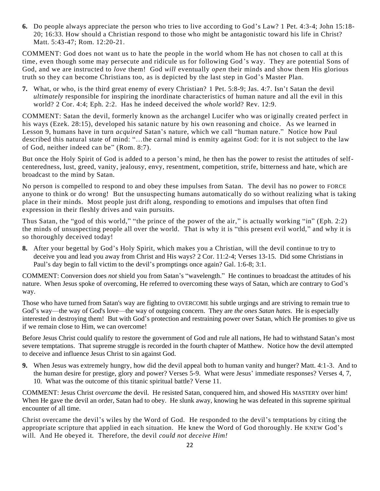**6.** Do people always appreciate the person who tries to live according to God's Law? 1 Pet. 4:3-4; John 15:18- 20; 16:33. How should a Christian respond to those who might be antagonistic toward his life in Christ? Matt. 5:43-47; Rom. 12:20-21.

COMMENT: God does not want us to hate the people in the world whom He has not chosen to call at th is time, even though some may persecute and ridicule us for following God 's way. They are potential Sons of God, and we are instructed to *love* them! God *will* eventually *open* their minds and show them His glorious truth so they can become Christians too, as is depicted by the last step in God's Master Plan.

**7.** What, or who, is the third great enemy of every Christian? 1 Pet. 5:8-9; Jas. 4:7. Isn't Satan the devil *ultimately* responsible for inspiring the inordinate characteristics of human nature and all the evil in this world? 2 Cor. 4:4; Eph. 2:2. Has he indeed deceived the *whole* world? Rev. 12:9.

COMMENT: Satan the devil, formerly known as the archangel Lucifer who was originally created perfect in his ways (Ezek. 28:15), developed his satanic nature by his own reasoning and choice. As we learned in Lesson 9, humans have in turn *acquired* Satan's nature, which we call "human nature." Notice how Paul described this natural state of mind: "...the carnal mind is enmity against God: for it is not subject to the law of God, neither indeed can be" (Rom. 8:7).

But once the Holy Spirit of God is added to a person's mind, he then has the power to resist the attitudes of selfcenteredness, lust, greed, vanity, jealousy, envy, resentment, competition, strife, bitterness and hate, which are broadcast to the mind by Satan.

No person is compelled to respond to and obey these impulses from Satan. The devil has no power to FORCE anyone to think or do wrong! But the unsuspecting humans automatically do so without realizing what is taking place in their minds. Most people just drift along, responding to emotions and impulses that often find expression in their fleshly drives and vain pursuits.

Thus Satan, the "god of this world," "the prince of the power of the air," is actually working "in" (Eph. 2:2) the minds of unsuspecting people all over the world. That is why it is "this present evil world," and why it is so thoroughly deceived today!

**8.** After your begettal by God's Holy Spirit, which makes you a Christian, will the devil continue to try to deceive you and lead you away from Christ and His ways? 2 Cor. 11:2-4; Verses 13-15. Did some Christians in Paul's day begin to fall victim to the devil's promptings once again? Gal. 1:6-8; 3:1.

COMMENT: Conversion does *not* shield you from Satan's "wavelength." He continues to broadcast the attitudes of his nature. When Jesus spoke of overcoming, He referred to overcoming these ways of Satan, which are contrary to God's way.

Those who have turned from Satan's way are fighting to OVERCOME his subtle urgings and are striving to remain true to God's way—the way of God's love—the way of outgoing concern. They are *the ones Satan hates*. He is especially interested in destroying them! But with God's protection and restraining power over Satan, which He promises to give us if we remain close to Him, we can overcome!

Before Jesus Christ could qualify to restore the government of God and rule all nations, He had to withstand Satan's most severe temptations. That supreme struggle is recorded in the fourth chapter of Matthew. Notice how the devil attempted to deceive and influence Jesus Christ to sin against God.

**9.** When Jesus was extremely hungry, how did the devil appeal both to human vanity and hunger? Matt. 4:1-3. And to the human desire for prestige, glory and power? Verses 5-9. What were Jesus' immediate responses? Verses 4, 7, 10. What was the outcome of this titanic spiritual battle? Verse 11.

COMMENT: Jesus Christ *overcame* the devil. He resisted Satan, conquered him, and showed His MASTERY over him! When He gave the devil an order, Satan had to obey. He slunk away, knowing he was defeated in this supreme spiritual encounter of all time.

Christ overcame the devil's wiles by the Word of God. He responded to the devil's temptations by citing the appropriate scripture that applied in each situation. He knew the Word of God thoroughly. He KNEW God's will. And He obeyed it. Therefore, the devil *could not deceive Him!*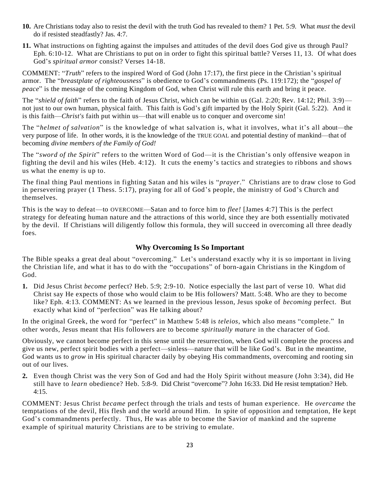- **10.** Are Christians today also to resist the devil with the truth God has revealed to them? 1 Pet. 5:9. What *must* the devil do if resisted steadfastly? Jas. 4:7.
- **11.** What instructions on fighting against the impulses and attitudes of the devil does God give us through Paul? Eph. 6:10-12. What are Christians to put on in order to fight this spiritual battle? Verses 11, 13. Of what does God's *spiritual armor* consist? Verses 14-18.

COMMENT: "*Truth*" refers to the inspired Word of God (John 17:17), the first piece in the Christian's spiritual armor. The "*breastplate of righteousness*" is obedience to God's commandments (Ps. 119:172); the "*gospel of peace*" is the message of the coming Kingdom of God, when Christ will rule this earth and bring it peace.

The "*shield of faith*" refers to the faith of Jesus Christ, which can be within us (Gal. 2:20; Rev. 14:12; Phil. 3:9) not just to our own human, physical faith. This faith is God's gift imparted by the Holy Spirit (Gal. 5:22). And it is this faith—*Christ's* faith put within us—that will enable us to conquer and overcome sin!

The "*helmet of salvation*" is the knowledge of what salvation is, what it involves, what it's all about—the very purpose of life. In other words, it is the knowledge of the TRUE GOAL and potential destiny of mankind—that of becoming *divine members of the Family of God!*

The "*sword of the Spirit*" refers to the written Word of God—it is the Christian's only offensive weapon in fighting the devil and his wiles (Heb. 4:12). It cuts the enemy's tactics and strategies to ribbons and shows us what the enemy is up to.

The final thing Paul mentions in fighting Satan and his wiles is "*prayer*." Christians are to draw close to God in persevering prayer (1 Thess. 5:17), praying for all of God's people, the ministry of God's Church and themselves.

This is the way to defeat—to OVERCOME—Satan and to force him to *flee!* [James 4:7] This is the perfect strategy for defeating human nature and the attractions of this world, since they are both essentially motivated by the devil. If Christians will diligently follow this formula, they will succeed in overcoming all three deadly foes.

# **Why Overcoming Is So Important**

The Bible speaks a great deal about "overcoming." Let's understand exactly why it is so important in living the Christian life, and what it has to do with the "occupations" of born-again Christians in the Kingdom of God.

**1.** Did Jesus Christ *become* perfect? Heb. 5:9; 2:9-10. Notice especially the last part of verse 10. What did Christ say He expects of those who would claim to be His followers? Matt. 5:48. Who are they to become like? Eph. 4:13. COMMENT: As we learned in the previous lesson, Jesus spoke of *becoming* perfect. But exactly what kind of "perfection" was He talking about?

In the original Greek, the word for "perfect" in Matthew 5:48 is *teleios*, which also means "complete." In other words, Jesus meant that His followers are to become *spiritually mature* in the character of God.

Obviously, we cannot become perfect in this sense until the resurrection, when God will complete the process and give us new, perfect spirit bodies with a perfect—sinless—nature that will be like God's. But in the meantime, God wants us to *grow* in His spiritual character daily by obeying His commandments, overcoming and rooting sin out of our lives.

**2.** Even though Christ was the very Son of God and had the Holy Spirit without measure (John 3:34), did He still have to *learn* obedience? Heb. 5:8-9. Did Christ "overcome"? John 16:33. Did He resist temptation? Heb. 4:15.

COMMENT: Jesus Christ *became* perfect through the trials and tests of human experience. He *overcame* the temptations of the devil, His flesh and the world around Him. In spite of opposition and temptation, He kept God's commandments perfectly. Thus, He was able to become the Savior of mankind and the supreme example of spiritual maturity Christians are to be striving to emulate.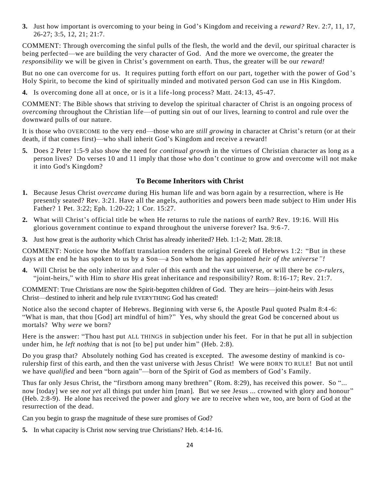**3.** Just how important is overcoming to your being in God's Kingdom and receiving a *reward?* Rev. 2:7, 11, 17, 26-27; 3:5, 12, 21; 21:7.

COMMENT: Through overcoming the sinful pulls of the flesh, the world and the devil, our spiritual character is being perfected—we are building the very character of God. And the more we overcome, the greater the *responsibility* we will be given in Christ's government on earth. Thus, the greater will be our *reward!*

But no one can overcome for us. It requires putting forth effort on our part, together with the power of God 's Holy Spirit, to become the kind of spiritually minded and motivated person God can use in His Kingdom.

**4.** Is overcoming done all at once, or is it a life -long process? Matt. 24:13, 45-47.

COMMENT: The Bible shows that striving to develop the spiritual character of Christ is an ongoing process of *overcoming* throughout the Christian life—of putting sin out of our lives, learning to control and rule over the downward pulls of our nature.

It is those who OVERCOME to the very end—those who are *still growing* in character at Christ's return (or at their death, if that comes first)—who shall inherit God's Kingdom and receive a reward!

**5.** Does 2 Peter 1:5-9 also show the need for *continual growth* in the virtues of Christian character as long as a person lives? Do verses 10 and 11 imply that those who don't continue to grow and overcome will not make it into God's Kingdom?

## **To Become Inheritors with Christ**

- **1.** Because Jesus Christ *overcame* during His human life and was born again by a resurrection, where is He presently seated? Rev. 3:21. Have all the angels, authorities and powers been made subject to Him under His Father? 1 Pet. 3:22; Eph. 1:20-22; 1 Cor. 15:27.
- **2.** What will Christ's official title be when He returns to rule the nations of earth? Rev. 19:16. Will His glorious government continue to expand throughout the universe forever? Isa. 9:6 -7.
- **3.** Just how great is the authority which Christ has already inherited? Heb. 1:1-2; Matt. 28:18.

COMMENT: Notice how the Moffatt translation renders the original Greek of Hebrews 1:2: "But in these days at the end he has spoken to us by a Son—a Son whom he has appointed *heir of the universe"!*

**4.** Will Christ be the only inheritor and ruler of this earth and the vast universe, or will there be *co-rulers*, "joint-heirs," with Him to *share* His great inheritance and responsibility? Rom. 8:16-17; Rev. 21:7.

COMMENT: True Christians are now the Spirit-begotten children of God. They are heirs—joint-heirs with Jesus Christ—destined to inherit and help rule EVERYTHING God has created!

Notice also the second chapter of Hebrews. Beginning with verse 6, the Apostle Paul quoted Psalm 8:4 -6: "What is man, that thou [God] art mindful of him?" Yes, why should the great God be concerned about us mortals? Why *were* we born?

Here is the answer: "Thou hast put ALL THINGS in subjection under his feet. For in that he put all in subjection under him, he *left nothing* that is not [to be] put under him" (Heb. 2:8).

Do you grasp that? Absolutely nothing God has created is excepted. The awesome destiny of mankind is corulership first of this earth, and then the vast universe with Jesus Christ! We were BORN TO RULE! But not until we have *qualified* and been "born again"—born of the Spirit of God as members of God's Family.

Thus far only Jesus Christ, the "firstborn among many brethren" (Rom. 8:29), has received this power. So "... now [today] we see *not yet* all things put under him [man]. But we see Jesus ... crowned with glory and honour" (Heb. 2:8-9). He alone has received the power and glory we are to receive when we, too, are born of God at the resurrection of the dead.

Can you begin to grasp the magnitude of these sure promises of God?

**5.** In what capacity is Christ now serving true Christians? Heb. 4:14-16.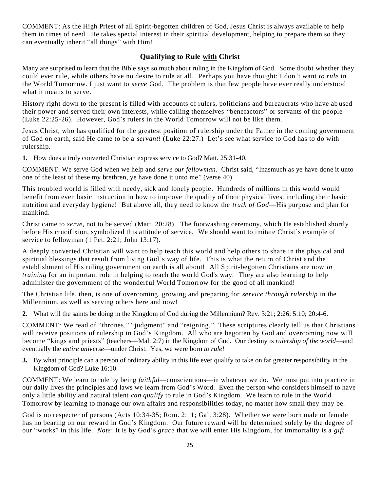COMMENT: As the High Priest of all Spirit-begotten children of God, Jesus Christ is always available to help them in times of need. He takes special interest in their spiritual development, helping to prepare them so they can eventually inherit "all things" with Him!

#### **Qualifying to Rule with Christ**

Many are surprised to learn that the Bible says so much about ruling in the Kingdom of God. Some doubt whether they could ever rule, while others have no desire to rule at all. Perhaps you have thought: I don't want *to rule* in the World Tomorrow. I just want to *serve* God. The problem is that few people have ever really understood what it means to serve.

History right down to the present is filled with accounts of rulers, politicians and bureaucrats who have ab used their power and served their own interests, while calling themselves "benefactors" or servants of the people (Luke 22:25-26). However, God's rulers in the World Tomorrow will not be like them.

Jesus Christ, who has qualified for the greatest position of rulership under the Father in the coming government of God on earth, said He came to be a *servant!* (Luke 22:27.) Let's see what service to God has to do with rulership.

**1.** How does a truly converted Christian express service to God? Matt. 25:31-40.

COMMENT: We serve God when we help and *serve our fellowman*. Christ said, "Inasmuch as ye have done it unto one of the least of these my brethren, ye have done it unto me" (verse 40).

This troubled world is filled with needy, sick and lonely people. Hundreds of millions in this world would benefit from even basic instruction in how to improve the quality of their physical lives, including their basic nutrition and everyday hygiene! But above all, they need to know the *truth of God*—His purpose and plan for mankind.

Christ came to *serve*, not to be served (Matt. 20:28). The footwashing ceremony, which He established shortly before His crucifixion, symbolized this attitude of service. We should want to imitate Christ's example of service to fellowman (1 Pet. 2:21; John 13:17).

A deeply converted Christian will want to help teach this world and help others to share in the physical and spiritual blessings that result from living God's way of life. This is what the return of Christ and the establishment of His ruling government on earth is all about! All Spirit-begotten Christians are now *in training* for an important role in helping to teach the world God's way. They are also learning to help administer the government of the wonderful World Tomorrow for the good of all mankind!

The Christian life, then, is one of overcoming, growing and preparing for *service through rulership* in the Millennium, as well as serving others here and now!

**2.** What will the saints be doing in the Kingdom of God during the Millennium? Rev. 3:21; 2:26; 5:10; 20:4-6.

COMMENT: We read of "thrones," "judgment" and "reigning." These scriptures clearly tell us that Christians will receive positions of rulership in God's Kingdom. All who are begotten by God and overcoming now will become "kings and priests" (teachers—Mal. 2:7) in the Kingdom of God. Our destiny is *rulership of the world*—and eventually the *entire universe*—under Christ. Yes, we were born *to rule!*

**3.** By what principle can a person of ordinary ability in this life ever qualify to take on far greater responsibility in the Kingdom of God? Luke 16:10.

COMMENT: We learn to rule by being *faithful*—conscientious—in whatever we do. We must put into practice in our daily lives the principles and laws we learn from God's Word. Even the person who considers himself to have only a little ability and natural talent *can qualify* to rule in God's Kingdom. We learn to rule in the World Tomorrow by learning to manage our own affairs and responsibilities today, no matter how small they may be.

God is no respecter of persons (Acts 10:34-35; Rom. 2:11; Gal. 3:28). Whether we were born male or female has no bearing on our reward in God's Kingdom. Our future reward will be determined solely by the degree of our "works" in this life. *Note*: It is by God's *grace* that we will enter His Kingdom, for immortality is a *gift*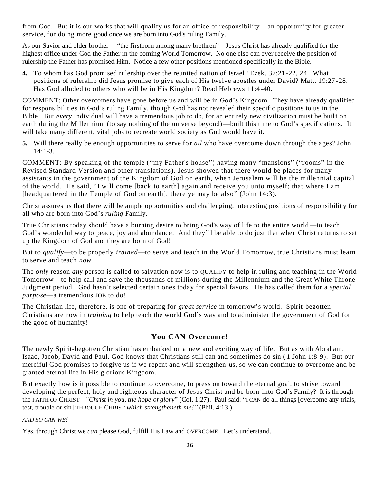from God. But it is our works that will qualify us for an office of responsibility—an opportunity for greater service, for doing more good once we are born into God's ruling Family.

As our Savior and elder brother— "the firstborn among many brethren"—Jesus Christ has already qualified for the highest office under God the Father in the coming World Tomorrow. No one else can ever receive the position of rulership the Father has promised Him. Notice a few other positions mentioned specifically in the Bible.

**4.** To whom has God promised rulership over the reunited nation of Israel? Ezek. 37:21 -22, 24. What positions of rulership did Jesus promise to give each of His twelve apostles under David? Matt. 19:27 -28. Has God alluded to others who will be in His Kingdom? Read Hebrews 11:4-40.

COMMENT: Other overcomers have gone before us and will be in God's Kingdom. They have already qualified for responsibilities in God's ruling Family, though God has not revealed their specific positions to us in the Bible. But *every* individual will have a tremendous job to do, for an entirely new civilization must be buil t on earth during the Millennium (to say nothing of the universe beyond)—built this time to God's specifications. It will take many different, vital jobs to recreate world society as God would have it.

**5.** Will there really be enough opportunities to serve for *all* who have overcome down through the ages? John 14:1-3.

COMMENT: By speaking of the temple ("my Father's house") having many "mansions" ("rooms" in the Revised Standard Version and other translations), Jesus showed that there would be places for many assistants in the government of the Kingdom of God on earth, when Jerusalem will be the millennial capital of the world. He said, "I will come [back to earth] again and receive you unto myself; that where I am [headquartered in the Temple of God on earth], there ye may be also" (John 14:3).

Christ assures us that there will be ample opportunities and challenging, interesting positions of responsibilit y for all who are born into God's *ruling* Family.

True Christians today should have a burning desire to bring God's way of life to the entire world —to teach God's wonderful way to peace, joy and abundance. And they'll be able to do just that when Christ returns to set up the Kingdom of God and they are born of God!

But to *qualify*—to be properly *trained*—to serve and teach in the World Tomorrow, true Christians must learn to serve and teach *now*.

The *only* reason *any* person is called to salvation now is to QUALIFY to help in ruling and teaching in the World Tomorrow—to help call and save the thousands of millions during the Millennium and the Great White Throne Judgment period. God hasn't selected certain ones today for special favors. He has called them for a *special purpose*—a tremendous JOB to do!

The Christian life, therefore, is one of preparing for *great service* in tomorrow's world. Spirit-begotten Christians are now in *training* to help teach the world God's way and to administer the government of God for the good of humanity!

# **You CAN Overcome!**

The newly Spirit-begotten Christian has embarked on a new and exciting way of life. But as with Abraham, Isaac, Jacob, David and Paul, God knows that Christians still can and sometimes do sin ( 1 John 1:8-9). But our merciful God promises to forgive us if we repent and will strengthen us, so we can continue to overcome and be granted eternal life in His glorious Kingdom.

But exactly how is it possible to continue to overcome, to press on toward the eternal goal, to strive toward developing the perfect, holy and righteous character of Jesus Christ and be born into God's Family? It is through the FAITH OF CHRIST—"*Christ in you, the hope of glory*" (Col. 1:27). Paul said: "I CAN do all things [overcome any trials, test, trouble or sin] THROUGH CHRIST *which strengtheneth me!"* (Phil. 4:13.)

#### *AND SO CAN WE!*

Yes, through Christ we *can* please God, fulfill His Law and OVERCOME! Let's understand.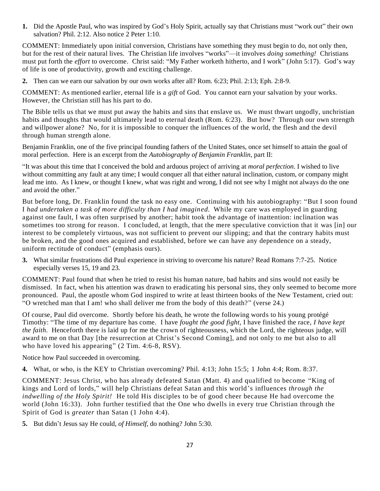**1.** Did the Apostle Paul, who was inspired by God's Holy Spirit, actually say that Christians must "work out" their own salvation? Phil. 2:12. Also notice 2 Peter 1:10.

COMMENT: Immediately upon initial conversion, Christians have something they must begin to do, not only then, but for the rest of their natural lives. The Christian life involves "works"—it involves *doing something!* Christians must put forth the *effort* to overcome. Christ said: "My Father worketh hitherto, and I work" (John 5:17). God's way of life is one of productivity, growth and exciting challenge.

**2.** Then can we earn our salvation by our own works after all? Rom. 6:23; Phil. 2:13; Eph. 2:8-9.

COMMENT: As mentioned earlier, eternal life is a *gift* of God. You cannot earn your salvation by your works. However, the Christian still has his part to do.

The Bible tells us that we must put away the habits and sins that enslave us. We must thwart ungodly, unchristian habits and thoughts that would ultimately lead to eternal death (Rom. 6:23). But how? Through our own strength and willpower alone? No, for it is impossible to conquer the influences of the world, the flesh and the devil through human strength alone.

Benjamin Franklin, one of the five principal founding fathers of the United States, once set himself to attain the goal of moral perfection. Here is an excerpt from the *Autobiography of Benjamin Franklin*, part II:

"It was about this time that I conceived the bold and arduous project of arriving at *moral perfection*. I wished to live without committing any fault at any time; I would conquer all that either natural inclination, custom, or company might lead me into. As I knew, or thought I knew, what was right and wrong, I did not see why I might not always do the one and avoid the other."

But before long, Dr. Franklin found the task no easy one. Continuing with his autobiography: "But I soon found I *had undertaken a task of more difficulty than I had imagined*. While my care was employed in guarding against one fault, I was often surprised by another; habit took the advantage of inattention: inclination was sometimes too strong for reason. I concluded, at length, that the mere speculative conviction that it was [in] our interest to be completely virtuous, was not sufficient to prevent our slipping; and that the contrary habits must be broken, and the good ones acquired and established, before we can have any dependence on a steady, uniform rectitude of conduct" (emphasis ours).

**3.** What similar frustrations did Paul experience in striving to overcome his nature? Read Romans 7:7-25. Notice especially verses 15, 19 and 23.

COMMENT: Paul found that when he tried to resist his human nature, bad habits and sins would not easily be dismissed. In fact, when his attention was drawn to eradicating his personal sins, they only seemed to become more pronounced. Paul, the apostle whom God inspired to write at least thirteen books of the New Testament, cried out: "O wretched man that I am! who shall deliver me from the body of this death?" (verse 24.)

Of course, Paul did overcome. Shortly before his death, he wrote the following words to his young protégé Timothy: "The time of my departure has come. I have *fought the good fight*, I have finished the race, *I have kept the faith*. Henceforth there is laid up for me the crown of righteousness, which the Lord, the righteous judge, will award to me on that Day [the resurrection at Christ's Second Coming], and not only to me but also to all who have loved his appearing" (2 Tim. 4:6-8, RSV).

Notice how Paul succeeded in overcoming.

**4.** What, or who, is the KEY to Christian overcoming? Phil. 4:13; John 15:5; 1 John 4:4; Rom. 8:37.

COMMENT: Jesus Christ, who has already defeated Satan (Matt. 4) and qualified to become "King of kings and Lord of lords," will help Christians defeat Satan and this world's influences *through the indwelling of the Holy Spirit!* He told His disciples to be of good cheer because He had overcome the world (John 16:33). John further testified that the One who dwells in every true Christian through the Spirit of God is *greater* than Satan (1 John 4:4).

**5.** But didn't Jesus say He could, *of Himself*, do nothing? John 5:30.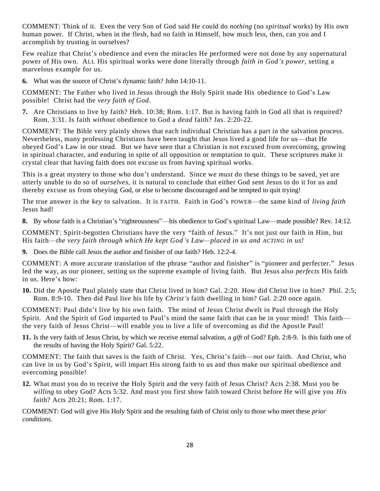COMMENT: Think of it. Even the very Son of God said He could do *nothing* (no *spiritual* works) by His own human power. If Christ, when in the flesh, had no faith in Himself, how much less, then, can you and I accomplish by trusting in ourselves?

Few realize that Christ's obedience and even the miracles He performed were not done by any supernatural power of His own. ALL His spiritual works were done literally through *faith in God's power*, setting a marvelous example for us.

**6.** What was the source of Christ's dynamic faith? John 14:10-11.

COMMENT: The Father who lived in Jesus through the Holy Spirit made His obedience to God's Law possible! Christ had the *very faith of God*.

**7.** Are Christians to live by faith? Heb. 10:38; Rom. 1:17. But is having faith in God all that is required? Rom. 3:31. Is faith *without* obedience to God a *dead* faith? Jas. 2:20-22.

COMMENT: The Bible very plainly shows that each individual Christian has a part in the salvation process. Nevertheless, many professing Christians have been taught that Jesus lived a good life for us—that He obeyed God's Law in our stead. But we have seen that a Christian is not excused from overcoming, growing in spiritual character, and enduring in spite of all opposition or temptation to quit. These scriptures make it crystal clear that having faith does not excuse us from having spiritual works.

This is a great mystery to those who don't understand. Since we *must* do these things to be saved, yet are utterly unable to do so of *ourselves*, it is natural to conclude that either God sent Jesus to do it for us and thereby excuse us from obeying God, or else to become discouraged and be tempted to quit trying!

The true answer is the *key* to salvation. It is FAITH. Faith in God's POWER—the same kind of *living faith* Jesus had!

**8.** By *whose* faith is a Christian's "righteousness"—his obedience to God's spiritual Law—made possible? Rev. 14:12.

COMMENT: Spirit-begotten Christians have the very "faith of Jesus." It's not just our faith in Him, but His faith—*the very faith through which He kept God's Law—placed in us and ACTING in us!*

**9.** Does the Bible call Jesus the author and finisher of our faith? Heb. 12:2-4.

COMMENT: A more accurate translation of the phrase "author and finisher" is "pioneer and perfecter." Jesus led the way, as our pioneer, setting us the supreme example of living faith. But Jesus also *perfects* His faith in us. Here's how:

**10.** Did the Apostle Paul plainly state that Christ lived in him? Gal. 2:20. How did Christ live in him? Phil. 2:5; Rom. 8:9-10. Then did Paul live his life by *Christ's* faith dwelling in him? Gal. 2:20 once again.

COMMENT: Paul didn't live by his own faith. The mind of Jesus Christ dwelt in Paul through the Holy Spirit. And the Spirit of God imparted to Paul's mind the same faith that can be in your mind! This faith the very faith of Jesus Christ—will enable you to live a life of overcoming as did the Apostle Paul!

**11.** Is the very faith of Jesus Christ, by which we receive eternal salvation, a *gift* of God? Eph. 2:8-9. Is this faith one of the results of having the Holy Spirit? Gal. 5:22.

COMMENT: The faith that saves is the faith of Christ. Yes, Christ's faith—*not our* faith. And Christ, who can live in us by God's Spirit, will impart His strong faith to us and thus make our spiritual obedience and overcoming possible!

**12.** What must you do to receive the Holy Spirit and the very faith of Jesus Christ? Acts 2:38. Must you be *willing* to obey God? Acts 5:32. And must you first show faith toward Christ before He will give you *His* faith? Acts 20:21; Rom. 1:17.

COMMENT: God will give His Holy Spirit and the resulting faith of Christ only to those who meet these *prior conditions.*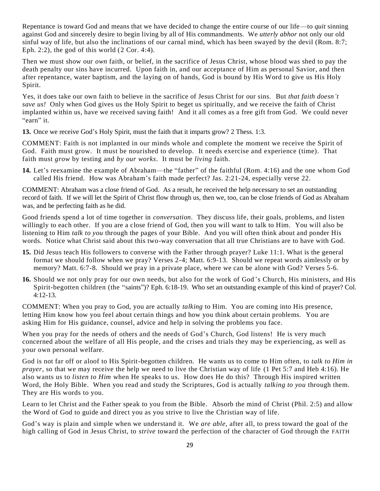Repentance is toward God and means that we have decided to change the entire course of our life—to *quit* sinning against God and sincerely desire to begin living by all of His commandments. We *utterly abhor* not only our old sinful way of life, but also the inclinations of our carnal mind, which has been swayed by the devil (Rom. 8:7; Eph. 2:2), the god of this world  $(2 \text{Cor. } 4:4)$ .

Then we must show our *own* faith, or belief, in the sacrifice of Jesus Christ, whose blood was shed to pay the death penalty our sins have incurred. Upon faith in, and our acceptance of Him as personal Savior, and then after repentance, water baptism, and the laying on of hands, God is bound by His Word to give us His Holy Spirit.

Yes, it does take our own faith to believe in the sacrifice of Jesus Christ for our sins. But *that faith doesn't save us!* Only when God gives us the Holy Spirit to beget us spiritually, and we receive the faith of Christ implanted within us, have we received saving faith! And it all comes as a free gift from God. We could never "earn" it.

**13.** Once we receive God's Holy Spirit, must the faith that it imparts grow? 2 Thess. 1:3.

COMMENT: Faith is not implanted in our minds whole and complete the moment we receive the Spirit of God. Faith must grow. It must be nourished to develop. It needs exercise and experience (time). That faith must *grow* by testing and *by our works*. It must be *living* faith.

**14.** Let's reexamine the example of Abraham—the "father" of the faithful (Rom. 4:16) and the one whom God called His friend. How was Abraham's faith made perfect? Jas. 2:21-24, especially verse 22.

COMMENT: Abraham was a close friend of God. As a result, he received the help necessary to set an outstanding record of faith. If we will let the Spirit of Christ flow through us, then we, too, can be close friends of God as Abraham was, and be perfecting faith as he did.

Good friends spend a lot of time together in *conversation*. They discuss life, their goals, problems, and listen willingly to each other. If you are a close friend of God, then you will want to talk to Him. You will also be listening to Him *talk to you* through the pages of your Bible. And you will often think about and ponder His words. Notice what Christ said about this two-way conversation that all true Christians are to have with God.

- **15.** Did Jesus teach His followers to converse with the Father through prayer? Luke 11:1. What is the general format we should follow when we pray? Verses 2-4; Matt. 6:9-13. Should we repeat words aimlessly or by memory? Matt. 6:7-8. Should we pray in a private place, where we can be alone with God? Verses 5-6.
- **16.** Should we not only pray for our own needs, but also for the work of God 's Church, His ministers, and His Spirit-begotten children (the "saints")? Eph. 6:18-19. Who set an outstanding example of this kind of prayer? Col. 4:12-13.

COMMENT: When you pray to God, you are actually *talking* to Him. You are coming into His presence, letting Him know how you feel about certain things and how you think about certain problems. You are asking Him for His guidance, counsel, advice and help in solving the problems you face.

When you pray for the needs of others and the needs of God's Church, God listens! He is very much concerned about the welfare of all His people, and the crises and trials they may be experiencing, as well as your own personal welfare.

God is not far off or aloof to His Spirit-begotten children. He wants us to come to Him often, to *talk to Him in prayer*, so that we may receive the help we need to live the Christian way of life (1 Pet 5:7 and Heb 4:16). He also wants us to *listen to Him* when He speaks to us. How does He do this? Through His inspired written Word, the Holy Bible. When you read and study the Scriptures, God is actually *talking to you* through them. They are His words to you.

Learn to let Christ and the Father speak to you from the Bible. Absorb the mind of Christ (Phil. 2:5) and allow the Word of God to guide and direct you as you strive to live the Christian way of life.

God's way is plain and simple when we understand it. We *are able*, after all, to press toward the goal of the high calling of God in Jesus Christ, to *strive* toward the perfection of the character of God through the FAITH